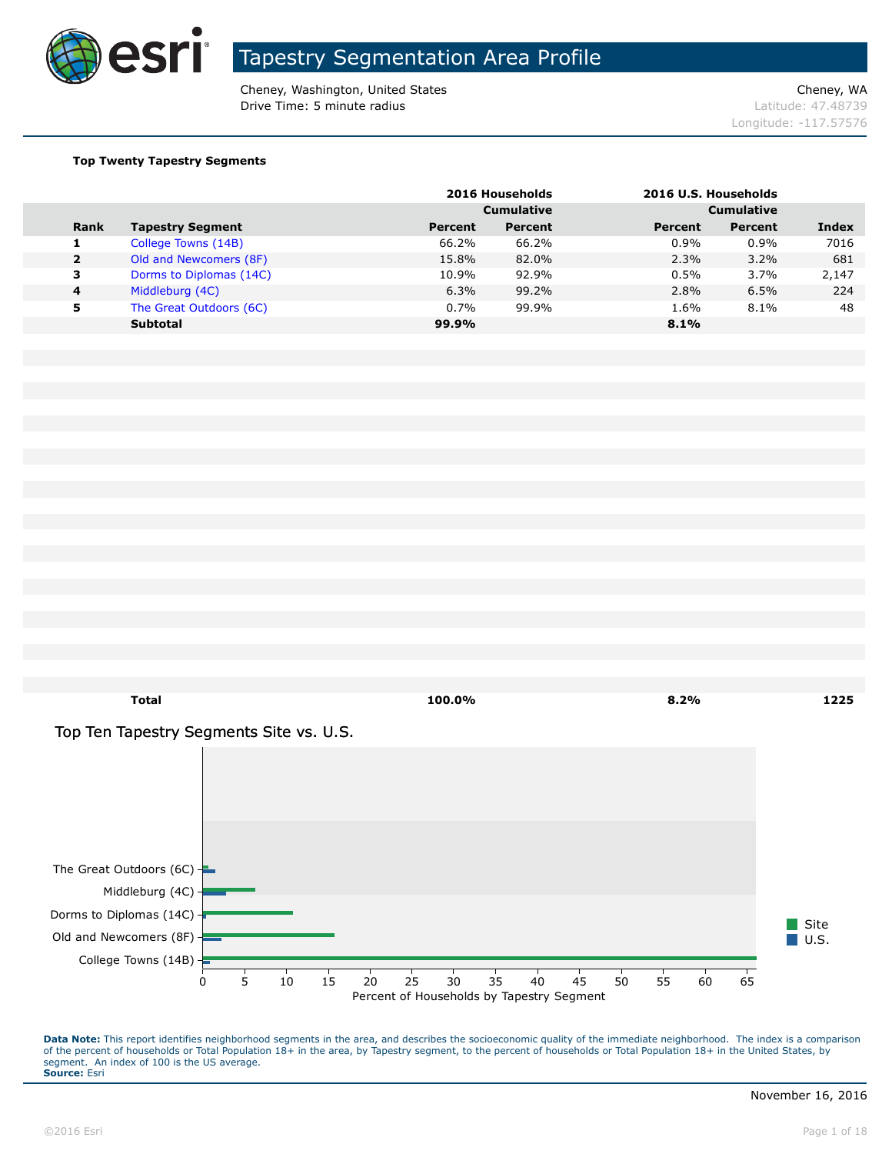

Cheney, Washington, United States Cheney, WA **Drive Time: 5 minute radius Contract Contract Contract Contract Contract Contract Contract Contract Contract Contract Contract Contract Contract Contract Contract Contract Contract Contract Contract Contract Contract Co** 

Longitude: -117.57576

#### **Top Twenty Tapestry Segments**

|                |                         |                | 2016 Households   |                   | 2016 U.S. Households |       |
|----------------|-------------------------|----------------|-------------------|-------------------|----------------------|-------|
|                |                         |                | <b>Cumulative</b> | <b>Cumulative</b> |                      |       |
| <b>Rank</b>    | <b>Tapestry Segment</b> | <b>Percent</b> | Percent           | Percent           | <b>Percent</b>       | Index |
|                | College Towns (14B)     | 66.2%          | 66.2%             | 0.9%              | 0.9%                 | 7016  |
| $\overline{2}$ | Old and Newcomers (8F)  | 15.8%          | 82.0%             | 2.3%              | 3.2%                 | 681   |
| 3              | Dorms to Diplomas (14C) | 10.9%          | 92.9%             | 0.5%              | 3.7%                 | 2,147 |
| $\overline{a}$ | Middleburg (4C)         | 6.3%           | 99.2%             | 2.8%              | 6.5%                 | 224   |
| 5              | The Great Outdoors (6C) | 0.7%           | 99.9%             | 1.6%              | 8.1%                 | 48    |
|                | <b>Subtotal</b>         | 99.9%          |                   | 8.1%              |                      |       |



Percent of Households by Tapestry Segment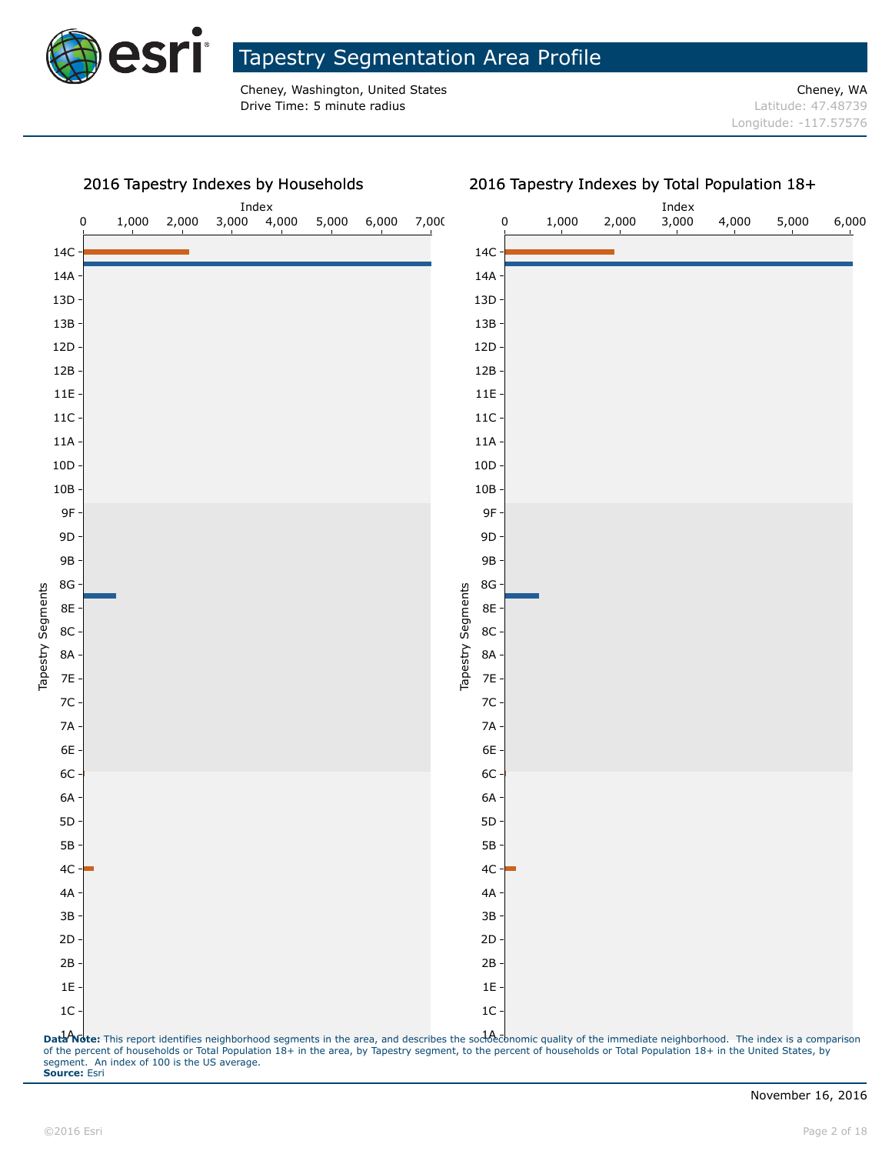

Cheney, Washington, United States Cheney, WA **Drive Time: 5 minute radius Contract Contract Contract Contract Contract Contract Contract Contract Contract Contract Contract Contract Contract Contract Contract Contract Contract Contract Contract Contract Contract Co** 

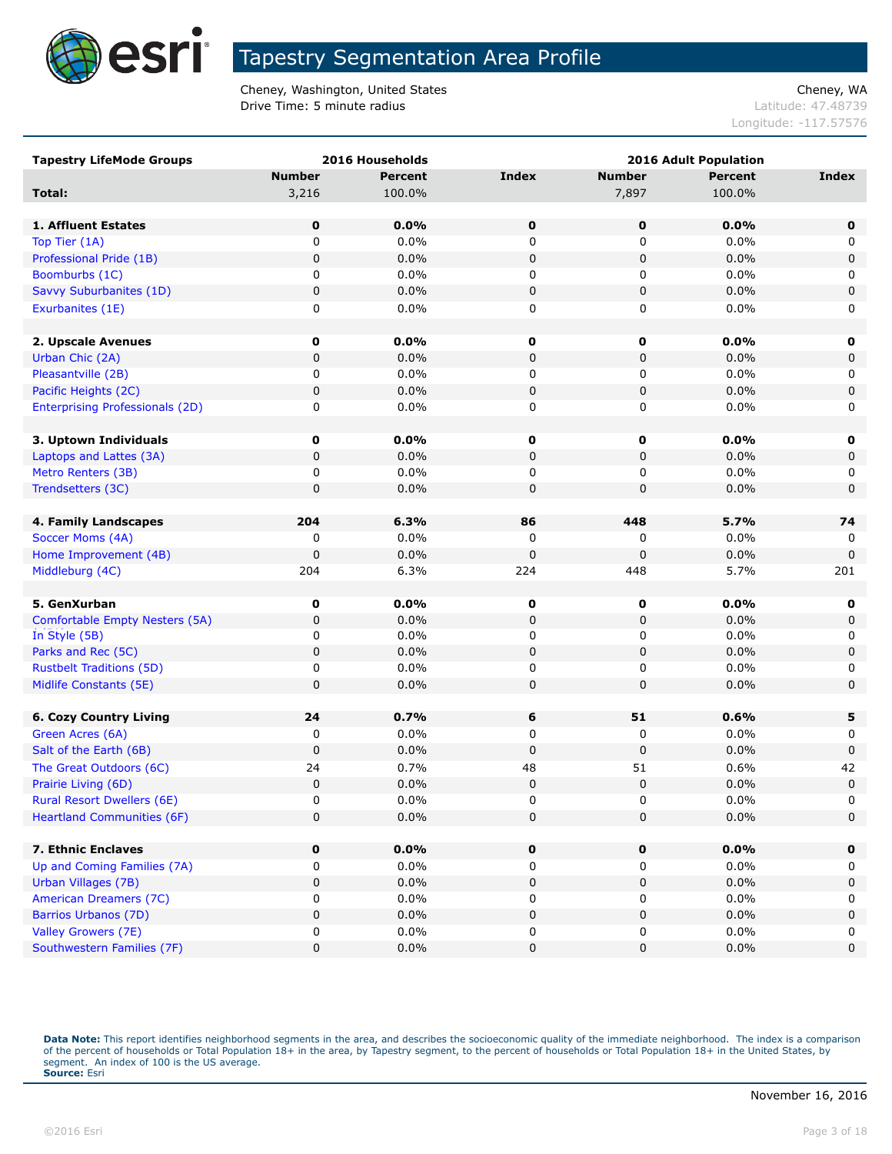

Cheney, Washington, United States Cheney, WA **Drive Time: 5 minute radius Contract Contract Contract Contract Contract Contract Contract Contract Contract Contract Contract Contract Contract Contract Contract Contract Contract Contract Contract Contract Contract Co** 

Longitude: -117.57576

| <b>Tapestry LifeMode Groups</b>        |               | 2016 Households |              |               | <b>2016 Adult Population</b> |              |
|----------------------------------------|---------------|-----------------|--------------|---------------|------------------------------|--------------|
|                                        | <b>Number</b> | <b>Percent</b>  | <b>Index</b> | <b>Number</b> | <b>Percent</b>               | <b>Index</b> |
| Total:                                 | 3,216         | 100.0%          |              | 7,897         | 100.0%                       |              |
|                                        |               |                 |              |               |                              |              |
| 1. Affluent Estates                    | 0             | 0.0%            | $\mathbf 0$  | 0             | 0.0%                         | $\mathbf 0$  |
| Top Tier (1A)                          | 0             | 0.0%            | 0            | 0             | 0.0%                         | 0            |
| Professional Pride (1B)                | $\mathbf 0$   | 0.0%            | $\pmb{0}$    | $\pmb{0}$     | 0.0%                         | $\pmb{0}$    |
| Boomburbs (1C)                         | 0             | 0.0%            | 0            | 0             | 0.0%                         | 0            |
| Savvy Suburbanites (1D)                | $\pmb{0}$     | 0.0%            | $\pmb{0}$    | $\pmb{0}$     | 0.0%                         | $\pmb{0}$    |
| Exurbanites (1E)                       | 0             | 0.0%            | 0            | 0             | 0.0%                         | 0            |
|                                        |               |                 |              |               |                              |              |
| 2. Upscale Avenues                     | 0             | 0.0%            | $\mathbf 0$  | 0             | 0.0%                         | 0            |
| Urban Chic (2A)                        | $\pmb{0}$     | 0.0%            | 0            | 0             | 0.0%                         | 0            |
| Pleasantville (2B)                     | 0             | 0.0%            | 0            | 0             | 0.0%                         | 0            |
| Pacific Heights (2C)                   | $\mathbf 0$   | 0.0%            | $\pmb{0}$    | 0             | 0.0%                         | $\pmb{0}$    |
| <b>Enterprising Professionals (2D)</b> | 0             | 0.0%            | 0            | 0             | 0.0%                         | 0            |
|                                        |               |                 |              |               |                              |              |
| 3. Uptown Individuals                  | 0             | 0.0%            | 0            | 0             | 0.0%                         | 0            |
| Laptops and Lattes (3A)                | 0             | 0.0%            | 0            | 0             | 0.0%                         | 0            |
| Metro Renters (3B)                     | 0             | 0.0%            | 0            | 0             | 0.0%                         | 0            |
| Trendsetters (3C)                      | $\pmb{0}$     | 0.0%            | 0            | 0             | 0.0%                         | 0            |
|                                        |               |                 |              |               |                              |              |
| 4. Family Landscapes                   | 204           | 6.3%            | 86           | 448           | 5.7%                         | 74           |
| Soccer Moms (4A)                       | 0             | 0.0%            | 0            | 0             | 0.0%                         | 0            |
| Home Improvement (4B)                  | $\mathbf 0$   | 0.0%            | 0            | 0             | 0.0%                         | $\mathbf 0$  |
| Middleburg (4C)                        | 204           | 6.3%            | 224          | 448           | 5.7%                         | 201          |
|                                        |               |                 |              |               |                              |              |
| 5. GenXurban                           | 0             | 0.0%            | $\mathbf 0$  | 0             | 0.0%                         | 0            |
| Comfortable Empty Nesters (5A)         | $\pmb{0}$     | 0.0%            | $\pmb{0}$    | $\pmb{0}$     | 0.0%                         | $\pmb{0}$    |
| In Style (5B)                          | 0             | 0.0%            | 0            | 0             | 0.0%                         | 0            |
| Parks and Rec (5C)                     | $\mathbf 0$   | 0.0%            | $\pmb{0}$    | 0             | 0.0%                         | $\pmb{0}$    |
| <b>Rustbelt Traditions (5D)</b>        | 0             | 0.0%            | 0            | 0             | 0.0%                         | 0            |
| Midlife Constants (5E)                 | $\mathbf 0$   | 0.0%            | $\mathbf 0$  | 0             | 0.0%                         | 0            |
|                                        |               |                 |              |               |                              |              |
| <b>6. Cozy Country Living</b>          | 24            | 0.7%            | 6            | 51            | 0.6%                         | 5            |
| Green Acres (6A)                       | 0             | 0.0%            | 0            | 0             | 0.0%                         | 0            |
| Salt of the Earth (6B)                 | $\mathbf 0$   | 0.0%            | 0            | 0             | 0.0%                         | $\mathbf 0$  |
| The Great Outdoors (6C)                | 24            | 0.7%            | 48           | 51            | 0.6%                         | 42           |
| Prairie Living (6D)                    | $\mathbf 0$   | 0.0%            | $\pmb{0}$    | 0             | 0.0%                         | $\mathbf 0$  |
| <b>Rural Resort Dwellers (6E)</b>      | $\mathbf 0$   | 0.0%            | 0            | $\Omega$      | 0.0%                         | $\Omega$     |
| <b>Heartland Communities (6F)</b>      | $\pmb{0}$     | 0.0%            | $\pmb{0}$    | $\pmb{0}$     | 0.0%                         | 0            |
|                                        |               |                 |              |               |                              |              |
| 7. Ethnic Enclaves                     | 0             | 0.0%            | 0            | 0             | 0.0%                         | $\mathbf 0$  |
| Up and Coming Families (7A)            | 0             | $0.0\%$         | 0            | 0             | 0.0%                         | 0            |
| Urban Villages (7B)                    | 0             | 0.0%            | 0            | 0             | 0.0%                         | 0            |
| American Dreamers (7C)                 | 0             | 0.0%            | 0            | 0             | 0.0%                         | 0            |
| Barrios Urbanos (7D)                   | $\pmb{0}$     | 0.0%            | 0            | 0             | 0.0%                         | $\pmb{0}$    |
| Valley Growers (7E)                    | 0             | 0.0%            | 0            | 0             | 0.0%                         | 0            |
| Southwestern Families (7F)             | $\pmb{0}$     | 0.0%            | 0            | 0             | 0.0%                         | 0            |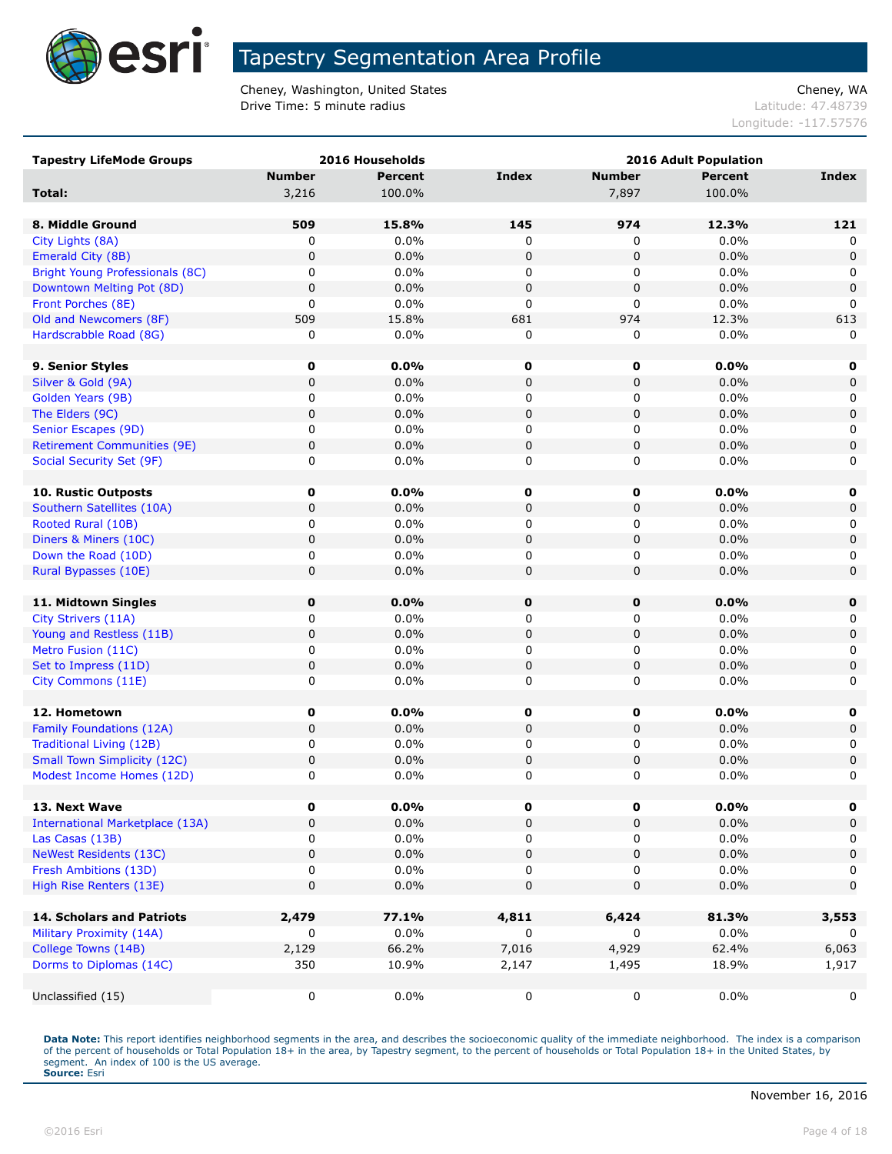

Cheney, Washington, United States Cheney, WA **Drive Time: 5 minute radius Contract Contract Contract Contract Contract Contract Contract Contract Contract Contract Contract Contract Contract Contract Contract Contract Contract Contract Contract Contract Contract Co** 

Longitude: -117.57576

| <b>Tapestry LifeMode Groups</b>             |                | 2016 Households | 2016 Adult Population |                |              |                  |
|---------------------------------------------|----------------|-----------------|-----------------------|----------------|--------------|------------------|
|                                             | <b>Number</b>  | <b>Percent</b>  | <b>Index</b>          | <b>Number</b>  | Percent      | Index            |
| Total:                                      | 3,216          | 100.0%          |                       | 7,897          | 100.0%       |                  |
|                                             |                |                 |                       |                |              |                  |
| 8. Middle Ground                            | 509            | 15.8%           | 145                   | 974            | 12.3%        | 121              |
| City Lights (8A)                            | 0              | 0.0%            | 0                     | 0              | 0.0%         | 0                |
| Emerald City (8B)                           | 0              | 0.0%            | $\mathbf 0$           | $\pmb{0}$      | 0.0%         | $\mathbf 0$      |
| <b>Bright Young Professionals (8C)</b>      | 0              | 0.0%            | 0                     | 0              | 0.0%         | 0                |
| Downtown Melting Pot (8D)                   | $\pmb{0}$      | 0.0%            | $\mathbf 0$           | $\pmb{0}$      | 0.0%         | $\mathbf 0$      |
| Front Porches (8E)                          | 0              | 0.0%            | $\mathbf 0$           | 0              | 0.0%         | 0                |
| Old and Newcomers (8F)                      | 509            | 15.8%           | 681                   | 974            | 12.3%        | 613              |
| Hardscrabble Road (8G)                      | 0              | 0.0%            | 0                     | 0              | 0.0%         | $\Omega$         |
|                                             |                |                 |                       |                |              |                  |
| 9. Senior Styles                            | 0              | 0.0%            | 0                     | 0              | 0.0%         | 0                |
| Silver & Gold (9A)                          | $\pmb{0}$      | 0.0%            | $\pmb{0}$             | $\pmb{0}$      | 0.0%         | $\mathsf 0$      |
| Golden Years (9B)                           | 0              | 0.0%            | 0                     | 0              | 0.0%         | 0                |
| The Elders (9C)                             | $\pmb{0}$      | 0.0%            | $\pmb{0}$             | $\pmb{0}$      | 0.0%         | $\mathsf 0$      |
| Senior Escapes (9D)                         | 0              | 0.0%            | 0                     | 0              | 0.0%         | 0                |
| <b>Retirement Communities (9E)</b>          | $\pmb{0}$      | 0.0%            | $\pmb{0}$             | $\pmb{0}$      | 0.0%         | $\mathsf 0$      |
| Social Security Set (9F)                    | 0              | 0.0%            | 0                     | 0              | 0.0%         | 0                |
|                                             |                |                 |                       |                |              |                  |
| 10. Rustic Outposts                         | 0              | 0.0%            | 0                     | 0              | $0.0\%$      | 0                |
| Southern Satellites (10A)                   | $\mathbf 0$    | 0.0%            | 0                     | 0              | 0.0%         | $\mathbf 0$      |
| Rooted Rural (10B)                          | 0              | 0.0%<br>0.0%    | 0                     | 0              | 0.0%<br>0.0% | 0                |
| Diners & Miners (10C)                       | $\pmb{0}$<br>0 | 0.0%            | $\pmb{0}$             | $\pmb{0}$      |              | $\mathsf 0$      |
| Down the Road (10D)<br>Rural Bypasses (10E) | $\pmb{0}$      | 0.0%            | 0<br>$\mathbf 0$      | 0<br>$\pmb{0}$ | 0.0%         | 0<br>$\mathbf 0$ |
|                                             |                |                 |                       |                | 0.0%         |                  |
| 11. Midtown Singles                         | 0              | 0.0%            | $\mathbf 0$           | 0              | 0.0%         | 0                |
| City Strivers (11A)                         | 0              | 0.0%            | 0                     | 0              | $0.0\%$      | 0                |
| Young and Restless (11B)                    | $\mathbf 0$    | 0.0%            | $\mathbf 0$           | $\pmb{0}$      | 0.0%         | $\mathbf 0$      |
| Metro Fusion (11C)                          | 0              | 0.0%            | 0                     | 0              | 0.0%         | 0                |
| Set to Impress (11D)                        | $\pmb{0}$      | 0.0%            | 0                     | $\pmb{0}$      | 0.0%         | $\mathbf 0$      |
| City Commons (11E)                          | 0              | 0.0%            | 0                     | 0              | 0.0%         | 0                |
|                                             |                |                 |                       |                |              |                  |
| 12. Hometown                                | 0              | 0.0%            | 0                     | 0              | $0.0\%$      | 0                |
| Family Foundations (12A)                    | 0              | 0.0%            | $\pmb{0}$             | $\pmb{0}$      | 0.0%         | $\mathsf 0$      |
| <b>Traditional Living (12B)</b>             | 0              | 0.0%            | 0                     | 0              | 0.0%         | 0                |
| <b>Small Town Simplicity (12C)</b>          | $\pmb{0}$      | 0.0%            | $\pmb{0}$             | $\pmb{0}$      | 0.0%         | 0                |
| Modest Income Homes (12D)                   | 0              | 0.0%            | $\pmb{0}$             | 0              | 0.0%         | 0                |
|                                             |                |                 |                       |                |              |                  |
| 13. Next Wave                               | 0              | $0.0\%$         | 0                     | 0              | $0.0\%$      | 0                |
| <b>International Marketplace (13A)</b>      | 0              | 0.0%            | $\pmb{0}$             | $\pmb{0}$      | 0.0%         | $\mathsf 0$      |
| Las Casas (13B)                             | 0              | $0.0\%$         | 0                     | 0              | 0.0%         | 0                |
| <b>NeWest Residents (13C)</b>               | $\pmb{0}$      | 0.0%            | 0                     | 0              | 0.0%         | $\mathsf 0$      |
| Fresh Ambitions (13D)                       | 0              | $0.0\%$         | 0                     | 0              | 0.0%         | 0                |
| High Rise Renters (13E)                     | $\mathbf 0$    | 0.0%            | $\mathbf 0$           | 0              | 0.0%         | $\mathbf 0$      |
|                                             |                |                 |                       |                |              |                  |
| <b>14. Scholars and Patriots</b>            | 2,479          | 77.1%           | 4,811                 | 6,424          | 81.3%        | 3,553            |
| Military Proximity (14A)                    | 0              | 0.0%            | 0                     | 0              | $0.0\%$      | 0                |
| College Towns (14B)                         | 2,129          | 66.2%           | 7,016                 | 4,929          | 62.4%        | 6,063            |
| Dorms to Diplomas (14C)                     | 350            | 10.9%           | 2,147                 | 1,495          | 18.9%        | 1,917            |
|                                             |                |                 |                       |                |              |                  |
| Unclassified (15)                           | 0              | $0.0\%$         | 0                     | 0              | $0.0\%$      | 0                |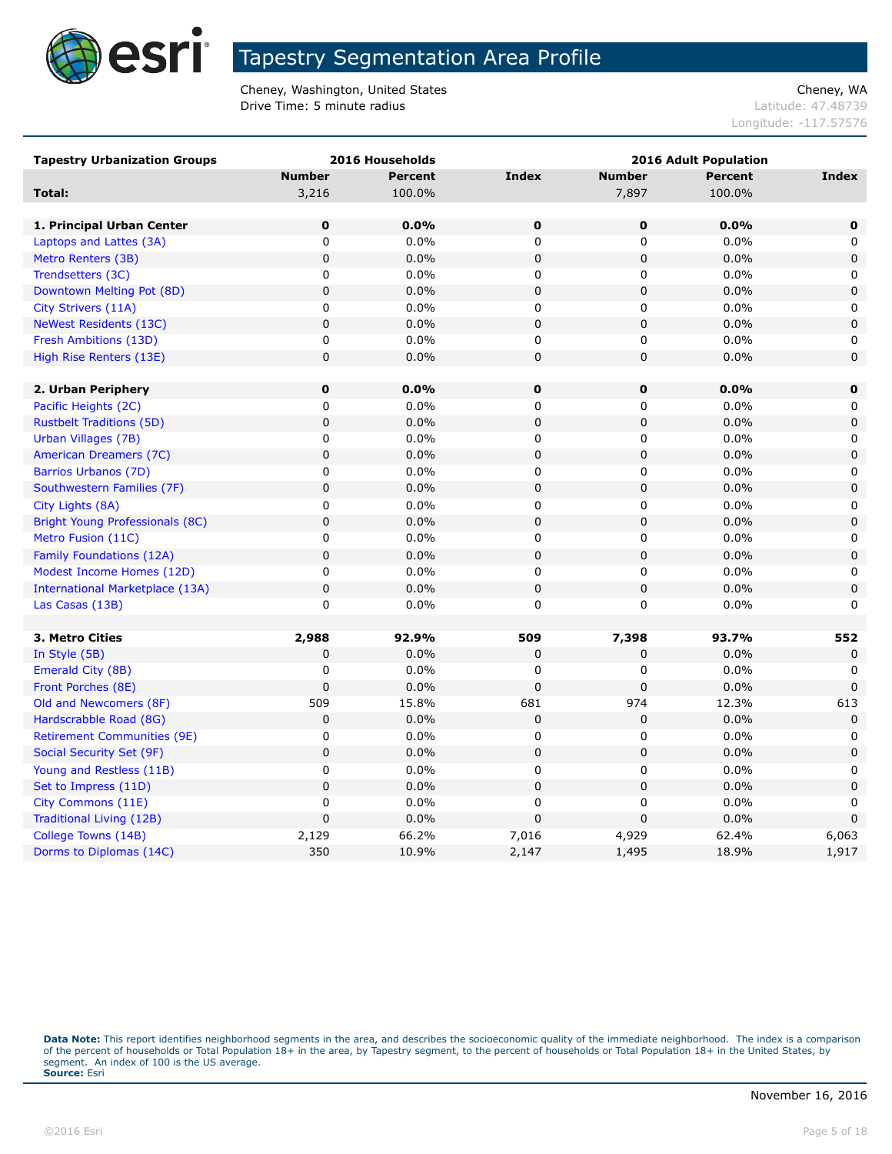

Cheney, Washington, United States Cheney, WA **Drive Time: 5 minute radius Contract Contract Contract Contract Contract Contract Contract Contract Contract Contract Contract Contract Contract Contract Contract Contract Contract Contract Contract Contract Contract Co** 

Longitude: -117.57576

| <b>Tapestry Urbanization Groups</b>    | 2016 Households |                | <b>2016 Adult Population</b> |                |                |             |
|----------------------------------------|-----------------|----------------|------------------------------|----------------|----------------|-------------|
|                                        | <b>Number</b>   | <b>Percent</b> | <b>Index</b>                 | <b>Number</b>  | <b>Percent</b> | Index       |
| Total:                                 | 3,216           | 100.0%         |                              | 7,897          | 100.0%         |             |
|                                        |                 |                |                              |                |                |             |
| 1. Principal Urban Center              | $\bf{0}$        | 0.0%           | 0                            | 0              | 0.0%           | 0           |
| Laptops and Lattes (3A)                | 0               | 0.0%           | $\mathbf 0$                  | 0              | 0.0%           | 0           |
| Metro Renters (3B)                     | $\pmb{0}$       | 0.0%           | $\mathbf 0$                  | $\mathbf 0$    | 0.0%           | 0           |
| Trendsetters (3C)                      | 0               | 0.0%           | 0                            | 0              | 0.0%           | 0           |
| Downtown Melting Pot (8D)              | $\mathbf 0$     | 0.0%           | $\mathbf 0$                  | 0              | 0.0%           | $\mathbf 0$ |
| City Strivers (11A)                    | 0               | 0.0%           | $\mathbf 0$                  | 0              | 0.0%           | 0           |
| <b>NeWest Residents (13C)</b>          | $\pmb{0}$       | 0.0%           | $\pmb{0}$                    | $\mathbf 0$    | 0.0%           | $\mathbf 0$ |
| Fresh Ambitions (13D)                  | 0               | 0.0%           | 0                            | 0              | 0.0%           | 0           |
| High Rise Renters (13E)                | $\mathbf 0$     | 0.0%           | $\mathbf 0$                  | 0              | 0.0%           | 0           |
|                                        |                 |                |                              |                |                |             |
| 2. Urban Periphery                     | $\mathbf 0$     | 0.0%           | $\mathbf 0$                  | 0              | 0.0%           | $\mathbf 0$ |
| Pacific Heights (2C)                   | 0               | 0.0%           | 0                            | 0              | 0.0%           | 0           |
| <b>Rustbelt Traditions (5D)</b>        | $\mathbf 0$     | 0.0%           | $\mathbf 0$                  | $\overline{0}$ | 0.0%           | $\mathbf 0$ |
| Urban Villages (7B)                    | $\mathbf 0$     | 0.0%           | $\mathbf 0$                  | 0              | 0.0%           | 0           |
| American Dreamers (7C)                 | $\mathbf 0$     | 0.0%           | $\pmb{0}$                    | 0              | 0.0%           | $\mathbf 0$ |
| Barrios Urbanos (7D)                   | 0               | 0.0%           | 0                            | 0              | 0.0%           | 0           |
| Southwestern Families (7F)             | $\pmb{0}$       | 0.0%           | $\mathbf 0$                  | 0              | 0.0%           | 0           |
| City Lights (8A)                       | 0               | 0.0%           | 0                            | 0              | 0.0%           | 0           |
| Bright Young Professionals (8C)        | $\mathbf 0$     | 0.0%           | $\mathbf 0$                  | $\mathbf 0$    | 0.0%           | $\mathbf 0$ |
| Metro Fusion (11C)                     | 0               | 0.0%           | 0                            | 0              | 0.0%           | 0           |
| Family Foundations (12A)               | $\mathbf 0$     | 0.0%           | $\mathbf 0$                  | $\mathbf 0$    | 0.0%           | $\mathbf 0$ |
| Modest Income Homes (12D)              | $\mathbf 0$     | 0.0%           | $\mathbf 0$                  | 0              | 0.0%           | 0           |
| <b>International Marketplace (13A)</b> | $\pmb{0}$       | 0.0%           | $\pmb{0}$                    | $\mathbf 0$    | 0.0%           | $\mathbf 0$ |
| Las Casas (13B)                        | $\mathbf 0$     | 0.0%           | $\mathbf 0$                  | 0              | 0.0%           | 0           |
|                                        |                 |                |                              |                |                |             |
| 3. Metro Cities                        | 2,988           | 92.9%          | 509                          | 7,398          | 93.7%          | 552         |
| In Style (5B)                          | $\mathbf 0$     | 0.0%           | $\mathbf 0$                  | 0              | 0.0%           | $\mathbf 0$ |
| Emerald City (8B)                      | 0               | 0.0%           | 0                            | 0              | 0.0%           | 0           |
| Front Porches (8E)                     | $\mathbf 0$     | 0.0%           | $\mathbf 0$                  | 0              | 0.0%           | $\Omega$    |
| Old and Newcomers (8F)                 | 509             | 15.8%          | 681                          | 974            | 12.3%          | 613         |
| Hardscrabble Road (8G)                 | 0               | 0.0%           | 0                            | 0              | 0.0%           | $\mathbf 0$ |
| <b>Retirement Communities (9E)</b>     | 0               | 0.0%           | 0                            | 0              | 0.0%           | 0           |
| Social Security Set (9F)               | $\mathbf 0$     | 0.0%           | $\mathbf 0$                  | 0              | 0.0%           | $\mathbf 0$ |
| Young and Restless (11B)               | $\mathsf 0$     | 0.0%           | 0                            | 0              | 0.0%           | 0           |
| Set to Impress (11D)                   | $\mathbf 0$     | 0.0%           | $\mathbf 0$                  | $\mathbf 0$    | 0.0%           | $\mathbf 0$ |
| City Commons (11E)                     | 0               | 0.0%           | 0                            | 0              | 0.0%           | 0           |
| Traditional Living (12B)               | $\mathbf 0$     | 0.0%           | $\overline{0}$               | 0              | 0.0%           | $\mathbf 0$ |
| College Towns (14B)                    | 2,129           | 66.2%          | 7,016                        | 4,929          | 62.4%          | 6,063       |
| Dorms to Diplomas (14C)                | 350             | 10.9%          | 2,147                        | 1,495          | 18.9%          | 1,917       |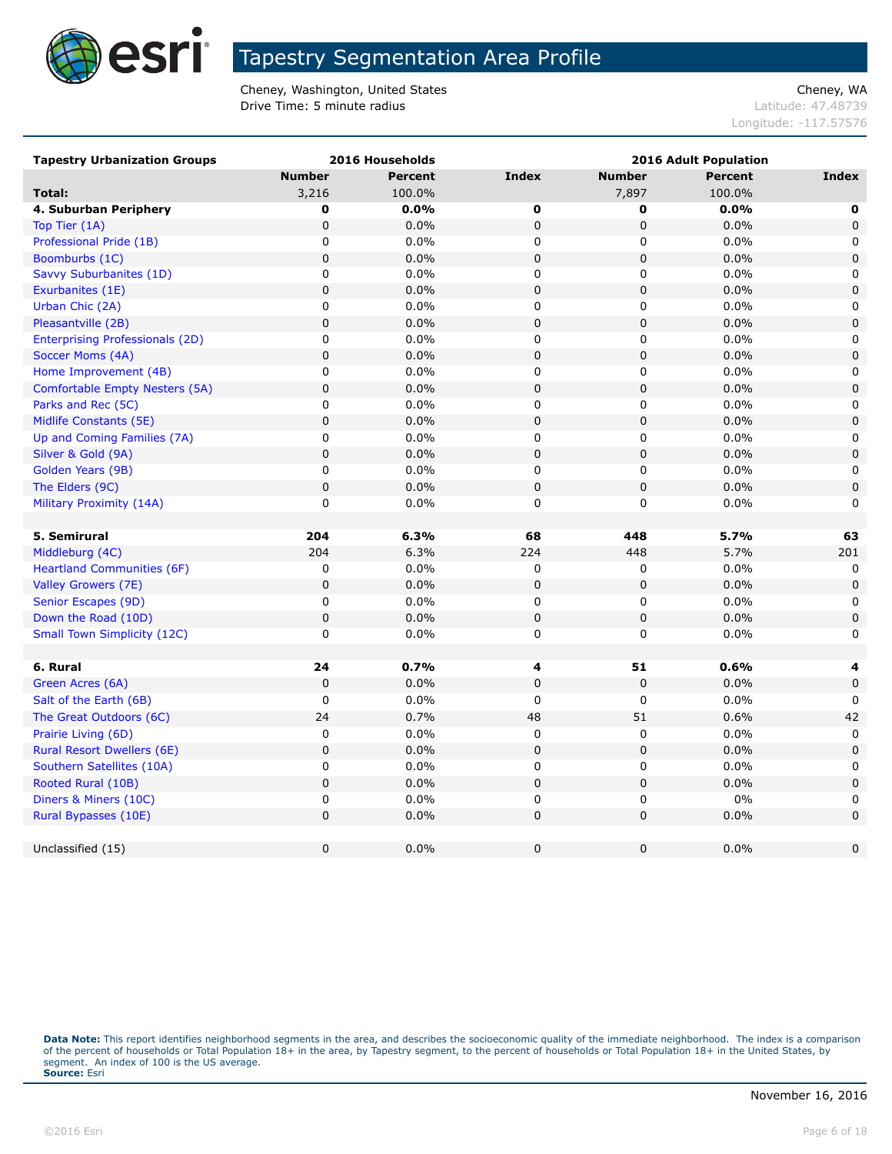

Cheney, Washington, United States Cheney, WA **Drive Time: 5 minute radius Contract Contract Contract Contract Contract Contract Contract Contract Contract Contract Contract Contract Contract Contract Contract Contract Contract Contract Contract Contract Contract Co** 

Longitude: -117.57576

| <b>Tapestry Urbanization Groups</b>    |               | 2016 Households |              | <b>2016 Adult Population</b> |                |              |  |
|----------------------------------------|---------------|-----------------|--------------|------------------------------|----------------|--------------|--|
|                                        | <b>Number</b> | <b>Percent</b>  | <b>Index</b> | <b>Number</b>                | <b>Percent</b> | Index        |  |
| Total:                                 | 3,216         | 100.0%          |              | 7,897                        | 100.0%         |              |  |
| 4. Suburban Periphery                  | 0             | 0.0%            | 0            | 0                            | 0.0%           | 0            |  |
| Top Tier (1A)                          | $\pmb{0}$     | 0.0%            | 0            | 0                            | 0.0%           | $\mathbf 0$  |  |
| Professional Pride (1B)                | 0             | 0.0%            | 0            | 0                            | 0.0%           | 0            |  |
| Boomburbs (1C)                         | $\pmb{0}$     | 0.0%            | 0            | 0                            | 0.0%           | $\mathbf 0$  |  |
| Savvy Suburbanites (1D)                | $\pmb{0}$     | 0.0%            | 0            | 0                            | 0.0%           | 0            |  |
| Exurbanites (1E)                       | $\pmb{0}$     | 0.0%            | 0            | 0                            | 0.0%           | $\pmb{0}$    |  |
| Urban Chic (2A)                        | 0             | 0.0%            | 0            | 0                            | 0.0%           | 0            |  |
| Pleasantville (2B)                     | $\pmb{0}$     | 0.0%            | 0            | 0                            | 0.0%           | $\mathsf 0$  |  |
| <b>Enterprising Professionals (2D)</b> | $\pmb{0}$     | 0.0%            | $\pmb{0}$    | 0                            | 0.0%           | 0            |  |
| Soccer Moms (4A)                       | $\pmb{0}$     | 0.0%            | 0            | 0                            | 0.0%           | 0            |  |
| Home Improvement (4B)                  | 0             | $0.0\%$         | 0            | 0                            | $0.0\%$        | 0            |  |
| <b>Comfortable Empty Nesters (5A)</b>  | $\pmb{0}$     | 0.0%            | 0            | 0                            | 0.0%           | $\pmb{0}$    |  |
| Parks and Rec (5C)                     | $\pmb{0}$     | $0.0\%$         | 0            | 0                            | 0.0%           | 0            |  |
| Midlife Constants (5E)                 | $\pmb{0}$     | 0.0%            | 0            | 0                            | 0.0%           | 0            |  |
| Up and Coming Families (7A)            | $\pmb{0}$     | 0.0%            | 0            | 0                            | $0.0\%$        | $\mathbf 0$  |  |
| Silver & Gold (9A)                     | $\pmb{0}$     | 0.0%            | 0            | 0                            | 0.0%           | $\pmb{0}$    |  |
| Golden Years (9B)                      | 0             | 0.0%            | 0            | 0                            | 0.0%           | 0            |  |
| The Elders (9C)                        | $\pmb{0}$     | 0.0%            | 0            | 0                            | 0.0%           | $\mathbf 0$  |  |
| Military Proximity (14A)               | 0             | 0.0%            | 0            | 0                            | $0.0\%$        | $\mathbf{0}$ |  |
|                                        |               |                 |              |                              |                |              |  |
| 5. Semirural                           | 204           | 6.3%            | 68           | 448                          | 5.7%           | 63           |  |
| Middleburg (4C)                        | 204           | 6.3%            | 224          | 448                          | 5.7%           | 201          |  |
| <b>Heartland Communities (6F)</b>      | 0             | 0.0%            | 0            | 0                            | $0.0\%$        | 0            |  |
| Valley Growers (7E)                    | $\pmb{0}$     | 0.0%            | 0            | 0                            | 0.0%           | $\mathbf 0$  |  |
| Senior Escapes (9D)                    | 0             | 0.0%            | 0            | 0                            | 0.0%           | 0            |  |
| Down the Road (10D)                    | $\mathbf 0$   | 0.0%            | 0            | $\pmb{0}$                    | 0.0%           | $\pmb{0}$    |  |
| <b>Small Town Simplicity (12C)</b>     | 0             | $0.0\%$         | 0            | 0                            | 0.0%           | 0            |  |
|                                        |               |                 |              |                              |                |              |  |
| 6. Rural                               | 24            | 0.7%            | 4            | 51                           | 0.6%           | 4            |  |
| Green Acres (6A)                       | $\mathbf 0$   | 0.0%            | 0            | $\pmb{0}$                    | 0.0%           | $\mathsf 0$  |  |
| Salt of the Earth (6B)                 | 0             | $0.0\%$         | 0            | 0                            | 0.0%           | 0            |  |
| The Great Outdoors (6C)                | 24            | 0.7%            | 48           | 51                           | 0.6%           | 42           |  |
| Prairie Living (6D)                    | $\pmb{0}$     | 0.0%            | 0            | 0                            | 0.0%           | 0            |  |
| Rural Resort Dwellers (6E)             | $\pmb{0}$     | 0.0%            | 0            | 0                            | 0.0%           | $\mathbf 0$  |  |
| Southern Satellites (10A)              | $\pmb{0}$     | $0.0\%$         | 0            | 0                            | 0.0%           | 0            |  |
| Rooted Rural (10B)                     | $\pmb{0}$     | 0.0%            | 0            | 0                            | 0.0%           | $\pmb{0}$    |  |
| Diners & Miners (10C)                  | 0             | 0.0%            | 0            | 0                            | 0%             | 0            |  |
| Rural Bypasses (10E)                   | $\pmb{0}$     | 0.0%            | 0            | 0                            | 0.0%           | 0            |  |
|                                        |               |                 |              |                              |                |              |  |
| Unclassified (15)                      | $\pmb{0}$     | 0.0%            | 0            | 0                            | 0.0%           | 0            |  |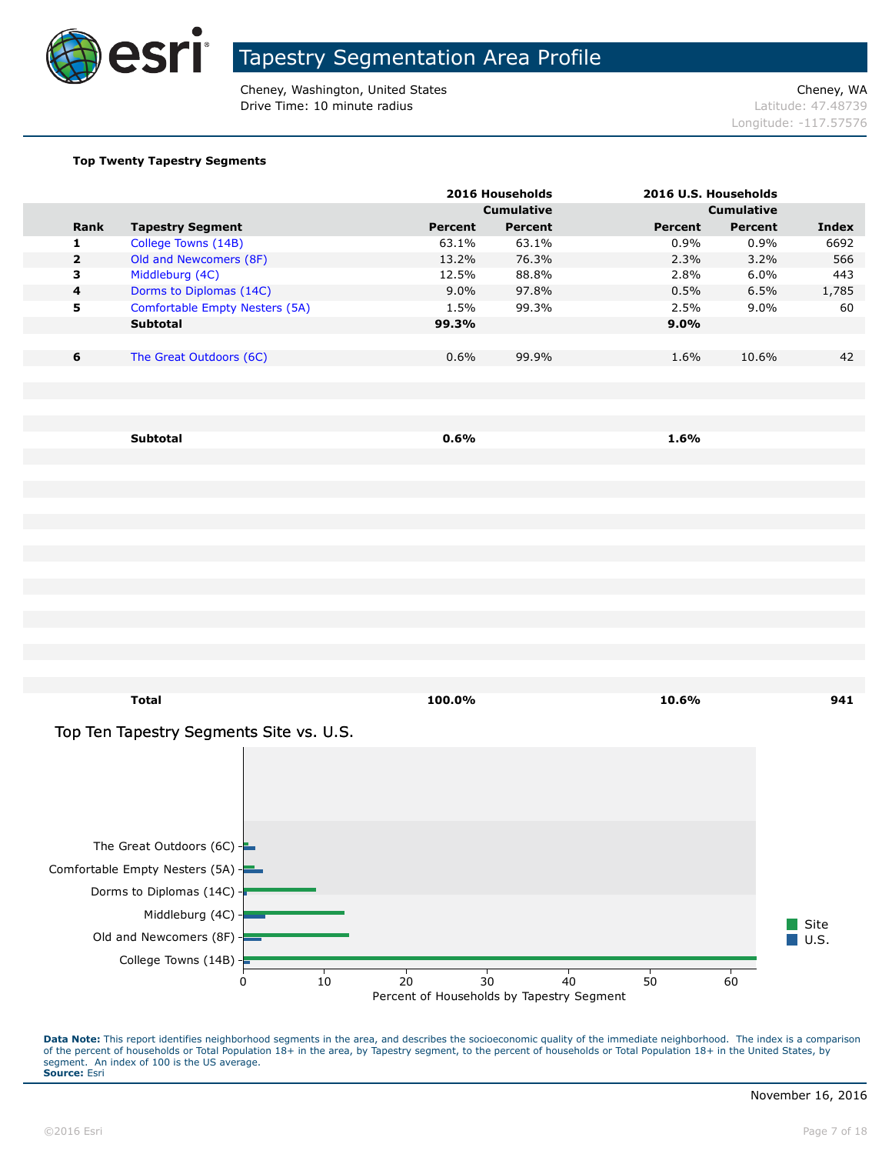

Cheney, Washington, United States Cheney, WA **Drive Time: 10 minute radius Latitude: 47.48739** 

Longitude: -117.57576

#### **Top Twenty Tapestry Segments**

|                         |                                           |                                           | 2016 Households   |                | 2016 U.S. Households |              |
|-------------------------|-------------------------------------------|-------------------------------------------|-------------------|----------------|----------------------|--------------|
|                         |                                           |                                           | <b>Cumulative</b> |                | <b>Cumulative</b>    |              |
| Rank                    | <b>Tapestry Segment</b>                   | <b>Percent</b>                            | <b>Percent</b>    | <b>Percent</b> | Percent              | <b>Index</b> |
| 1                       | College Towns (14B)                       | 63.1%                                     | 63.1%             | 0.9%           | 0.9%                 | 6692         |
| $\mathbf{2}$<br>3       | Old and Newcomers (8F)<br>Middleburg (4C) | 13.2%<br>12.5%                            | 76.3%<br>88.8%    | 2.3%<br>2.8%   | 3.2%<br>6.0%         | 566<br>443   |
| $\overline{\mathbf{4}}$ | Dorms to Diplomas (14C)                   | 9.0%                                      | 97.8%             | 0.5%           | 6.5%                 | 1,785        |
| 5                       | Comfortable Empty Nesters (5A)            | 1.5%                                      | 99.3%             | 2.5%           | 9.0%                 | 60           |
|                         | Subtotal                                  | 99.3%                                     |                   | 9.0%           |                      |              |
|                         |                                           |                                           |                   |                |                      |              |
| 6                       | The Great Outdoors (6C)                   | 0.6%                                      | 99.9%             | 1.6%           | 10.6%                | 42           |
|                         |                                           |                                           |                   |                |                      |              |
|                         |                                           |                                           |                   |                |                      |              |
|                         |                                           |                                           |                   |                |                      |              |
|                         | Subtotal                                  | 0.6%                                      |                   | 1.6%           |                      |              |
|                         |                                           |                                           |                   |                |                      |              |
|                         |                                           |                                           |                   |                |                      |              |
|                         |                                           |                                           |                   |                |                      |              |
|                         |                                           |                                           |                   |                |                      |              |
|                         |                                           |                                           |                   |                |                      |              |
|                         |                                           |                                           |                   |                |                      |              |
|                         |                                           |                                           |                   |                |                      |              |
|                         |                                           |                                           |                   |                |                      |              |
|                         |                                           |                                           |                   |                |                      |              |
|                         |                                           |                                           |                   |                |                      |              |
|                         |                                           |                                           |                   |                |                      |              |
|                         |                                           |                                           |                   |                |                      |              |
|                         |                                           |                                           |                   |                |                      |              |
|                         |                                           |                                           |                   |                |                      |              |
|                         | <b>Total</b>                              | 100.0%                                    |                   | 10.6%          |                      | 941          |
|                         | Top Ten Tapestry Segments Site vs. U.S.   |                                           |                   |                |                      |              |
|                         |                                           |                                           |                   |                |                      |              |
|                         |                                           |                                           |                   |                |                      |              |
|                         |                                           |                                           |                   |                |                      |              |
|                         |                                           |                                           |                   |                |                      |              |
|                         |                                           |                                           |                   |                |                      |              |
|                         |                                           |                                           |                   |                |                      |              |
|                         | The Great Outdoors $(6C)$ -               |                                           |                   |                |                      |              |
|                         | Comfortable Empty Nesters (5A) -          |                                           |                   |                |                      |              |
|                         | Dorms to Diplomas (14C) -                 |                                           |                   |                |                      |              |
|                         | Middleburg (4C) -                         |                                           |                   |                |                      |              |
|                         | Old and Newcomers (8F)                    |                                           |                   |                |                      | Site         |
|                         |                                           |                                           |                   |                |                      | U.S.         |
|                         | College Towns $(14B)$ -                   |                                           |                   |                |                      |              |
|                         | 0                                         | 10<br>20                                  | 30                | 40<br>50       | 60                   |              |
|                         |                                           | Percent of Households by Tapestry Segment |                   |                |                      |              |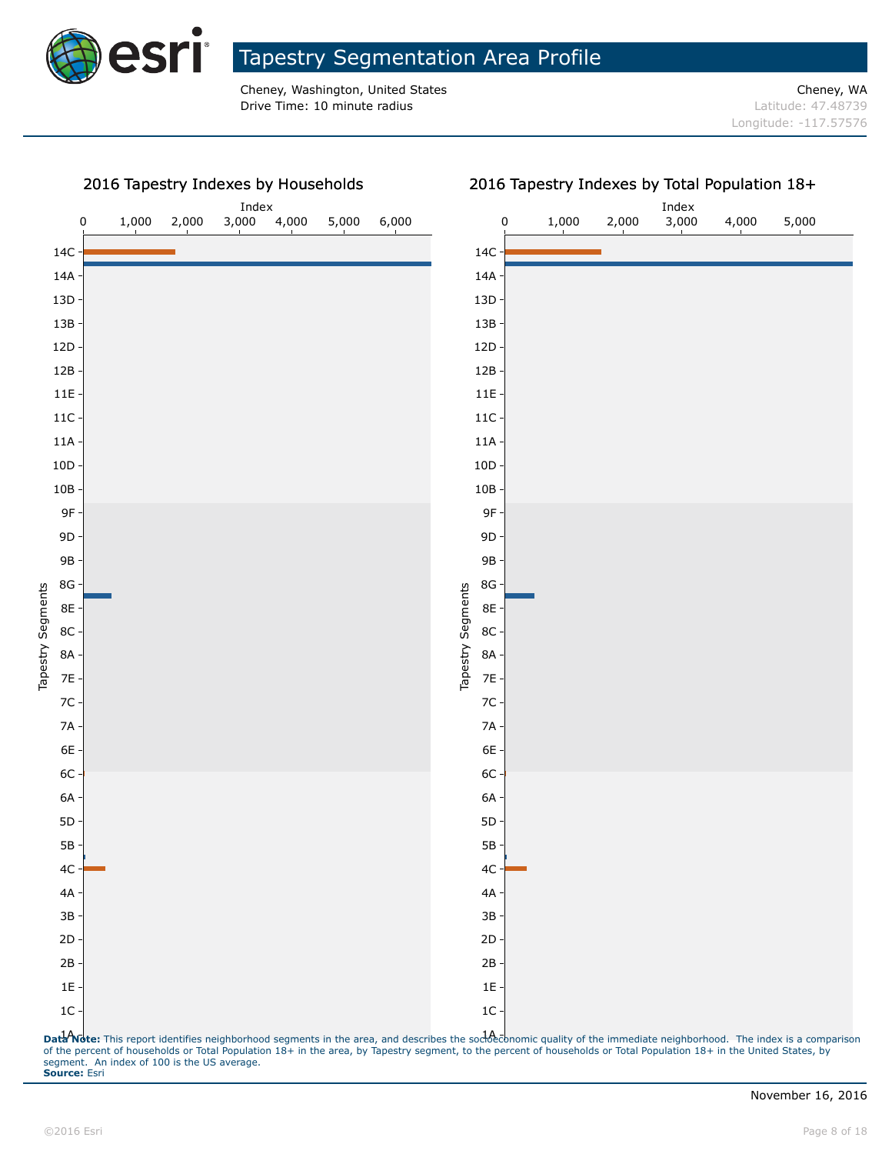

2016 Tapestry Indexes by Households

#### Tapestry Segmentation Area Profile

Cheney, Washington, United States Cheney, WA **Drive Time: 10 minute radius Latitude: 47.48739** 



#### Dat<sup>1</sup>Note: This report identifies neighborhood segments in the area, and describes the socienal approvic quality of the immediate neighborhood. The index is a comparison of the percent of households or Total Population 18+ in the area, by Tapestry segment, to the percent of households or Total Population 18+ in the United States, by segment. An index of 100 is the US average. **Source:** Esri

#### 2016 Tapestry Indexes by Total Population 18+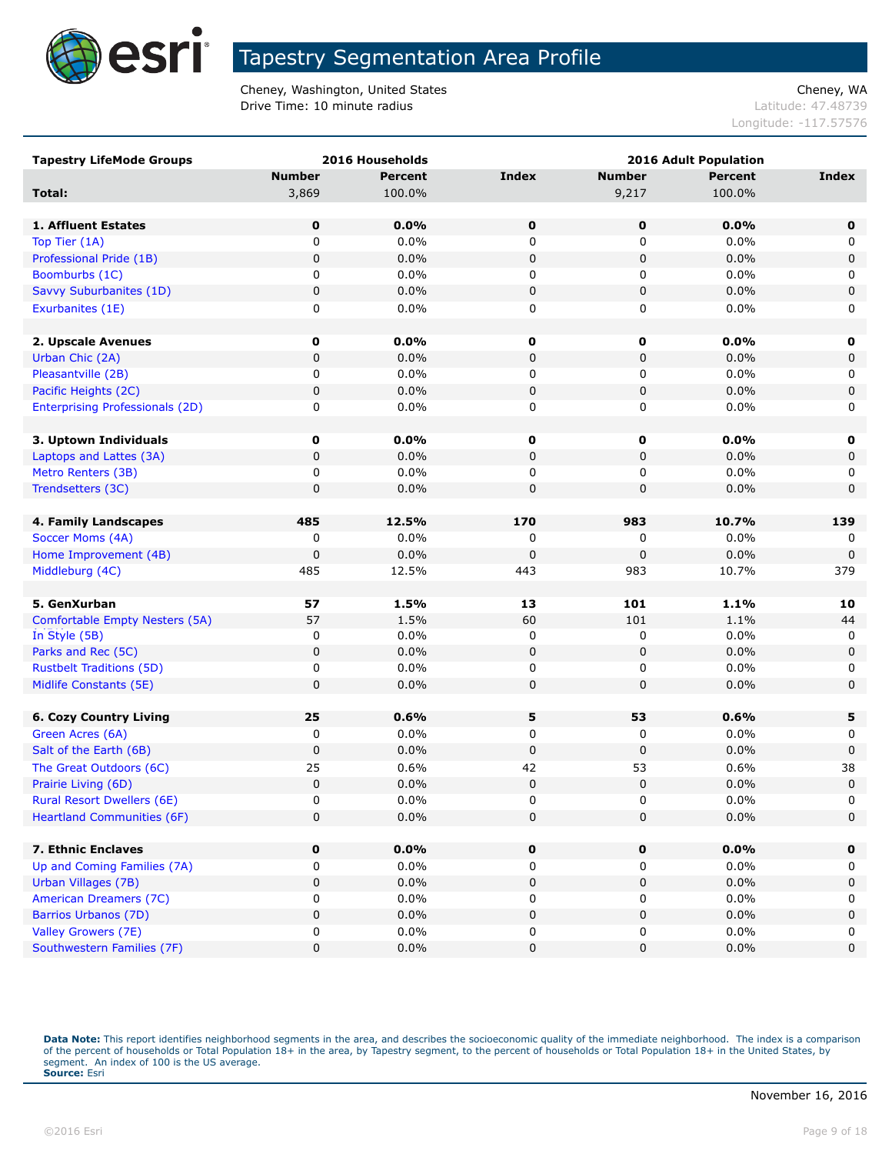

Cheney, Washington, United States Cheney, WA **Drive Time: 10 minute radius Latitude: 47.48739** 

Longitude: -117.57576

| <b>Tapestry LifeMode Groups</b>        |               | 2016 Households |              |               | <b>2016 Adult Population</b> |              |
|----------------------------------------|---------------|-----------------|--------------|---------------|------------------------------|--------------|
|                                        | <b>Number</b> | <b>Percent</b>  | <b>Index</b> | <b>Number</b> | <b>Percent</b>               | <b>Index</b> |
| Total:                                 | 3,869         | 100.0%          |              | 9,217         | 100.0%                       |              |
|                                        |               |                 |              |               |                              |              |
| 1. Affluent Estates                    | 0             | 0.0%            | $\mathbf 0$  | 0             | 0.0%                         | $\mathbf 0$  |
| Top Tier (1A)                          | $\mathbf 0$   | 0.0%            | 0            | $\mathbf 0$   | 0.0%                         | 0            |
| Professional Pride (1B)                | $\mathbf 0$   | 0.0%            | 0            | $\pmb{0}$     | 0.0%                         | 0            |
| Boomburbs (1C)                         | 0             | 0.0%            | 0            | 0             | 0.0%                         | 0            |
| Savvy Suburbanites (1D)                | 0             | 0.0%            | 0            | 0             | 0.0%                         | $\pmb{0}$    |
| Exurbanites (1E)                       | 0             | 0.0%            | 0            | 0             | 0.0%                         | 0            |
|                                        |               |                 |              |               |                              |              |
| 2. Upscale Avenues                     | 0             | 0.0%            | $\mathbf 0$  | 0             | 0.0%                         | 0            |
| Urban Chic (2A)                        | $\pmb{0}$     | 0.0%            | 0            | $\pmb{0}$     | 0.0%                         | 0            |
| Pleasantville (2B)                     | 0             | 0.0%            | 0            | 0             | 0.0%                         | 0            |
| Pacific Heights (2C)                   | $\mathbf 0$   | 0.0%            | 0            | $\mathbf 0$   | 0.0%                         | 0            |
| <b>Enterprising Professionals (2D)</b> | 0             | 0.0%            | 0            | 0             | 0.0%                         | 0            |
|                                        |               |                 |              |               |                              |              |
| 3. Uptown Individuals                  | 0             | $0.0\%$         | 0            | 0             | $0.0\%$                      | 0            |
| Laptops and Lattes (3A)                | $\mathbf 0$   | 0.0%            | 0            | 0             | 0.0%                         | 0            |
| Metro Renters (3B)                     | 0             | 0.0%            | 0            | 0             | 0.0%                         | 0            |
| Trendsetters (3C)                      | $\mathbf 0$   | 0.0%            | 0            | 0             | 0.0%                         | $\mathbf 0$  |
|                                        |               |                 |              |               |                              |              |
| 4. Family Landscapes                   | 485           | 12.5%           | 170          | 983           | 10.7%                        | 139          |
| Soccer Moms (4A)                       | 0             | 0.0%            | 0            | 0             | 0.0%                         | 0            |
| Home Improvement (4B)                  | $\mathbf 0$   | 0.0%            | 0            | 0             | 0.0%                         | $\mathbf 0$  |
| Middleburg (4C)                        | 485           | 12.5%           | 443          | 983           | 10.7%                        | 379          |
|                                        |               |                 |              |               |                              |              |
| 5. GenXurban                           | 57            | 1.5%            | 13           | 101           | 1.1%                         | 10           |
| Comfortable Empty Nesters (5A)         | 57            | 1.5%            | 60           | 101           | 1.1%                         | 44           |
| In Style (5B)                          | 0             | 0.0%            | 0            | 0             | 0.0%                         | 0            |
| Parks and Rec (5C)                     | $\mathbf 0$   | 0.0%            | 0            | 0             | 0.0%                         | $\mathbf 0$  |
| <b>Rustbelt Traditions (5D)</b>        | 0             | 0.0%            | 0            | 0             | 0.0%                         | 0            |
| Midlife Constants (5E)                 | $\mathbf 0$   | 0.0%            | 0            | $\mathbf 0$   | 0.0%                         | 0            |
|                                        |               |                 |              |               |                              |              |
| <b>6. Cozy Country Living</b>          | 25            | 0.6%            | 5            | 53            | 0.6%                         | 5            |
| Green Acres (6A)                       | 0             | 0.0%            | 0            | 0             | 0.0%                         | 0            |
| Salt of the Earth (6B)                 | $\mathbf 0$   | 0.0%            | 0            | 0             | 0.0%                         | 0            |
| The Great Outdoors (6C)                | 25            | 0.6%            | 42           | 53            | 0.6%                         | 38           |
| Prairie Living (6D)                    | $\mathbf 0$   | 0.0%            | 0            | 0             | 0.0%                         | $\mathbf 0$  |
| <b>Rural Resort Dwellers (6E)</b>      | $\Omega$      | 0.0%            | 0            | $\mathbf{0}$  | 0.0%                         | 0            |
| <b>Heartland Communities (6F)</b>      | $\mathbf 0$   | 0.0%            | 0            | $\mathbf 0$   | 0.0%                         | 0            |
|                                        |               |                 |              |               |                              |              |
| 7. Ethnic Enclaves                     | 0             | 0.0%            | $\mathbf 0$  | 0             | 0.0%                         | $\mathbf 0$  |
| Up and Coming Families (7A)            | 0             | $0.0\%$         | 0            | 0             | 0.0%                         | 0            |
| Urban Villages (7B)                    | $\pmb{0}$     | 0.0%            | 0            | 0             | 0.0%                         | 0            |
| <b>American Dreamers (7C)</b>          | 0             | 0.0%            | 0            | 0             | 0.0%                         | 0            |
| Barrios Urbanos (7D)                   | $\pmb{0}$     | 0.0%            | 0            | 0             | 0.0%                         | $\pmb{0}$    |
| Valley Growers (7E)                    | 0             | $0.0\%$         | 0            | 0             | 0.0%                         | 0            |
| Southwestern Families (7F)             | $\pmb{0}$     | 0.0%            | 0            | 0             | 0.0%                         | $\pmb{0}$    |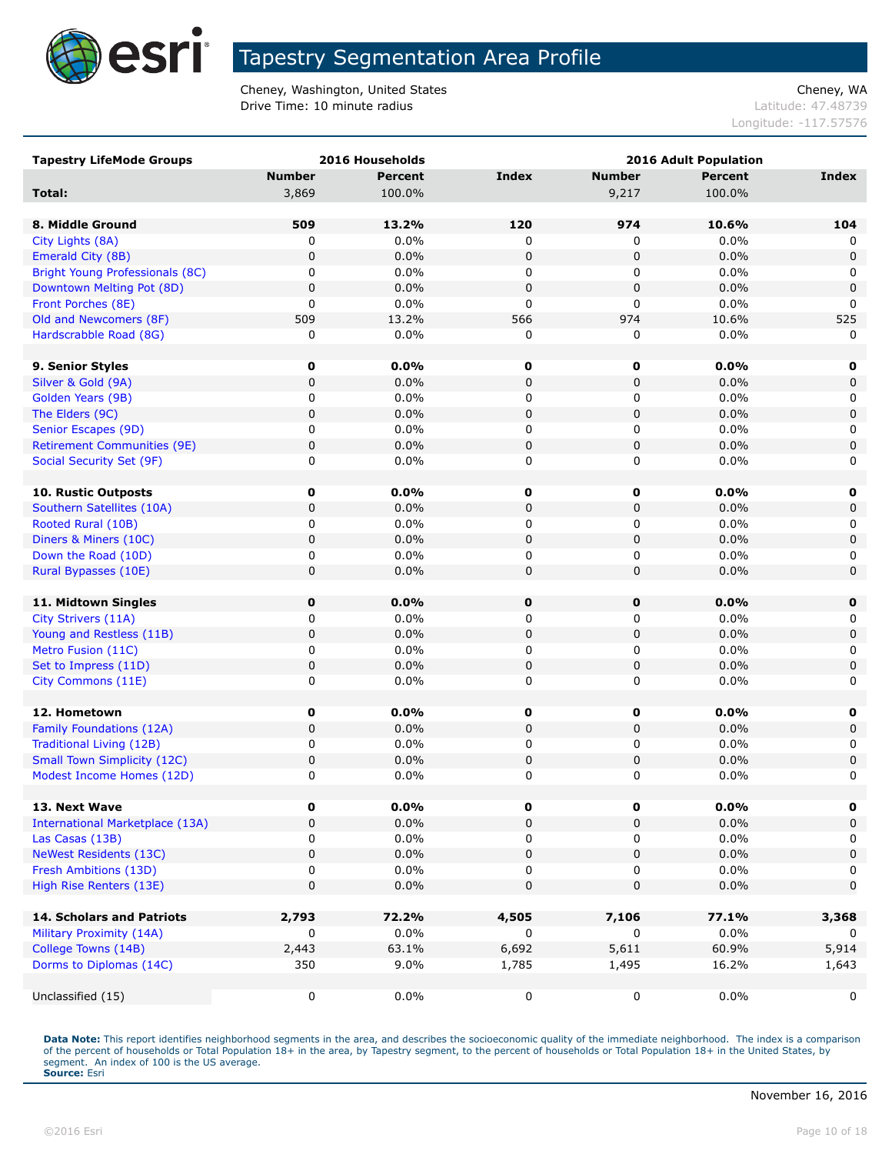

Cheney, Washington, United States Cheney, WA **Drive Time: 10 minute radius Latitude: 47.48739** 

Longitude: -117.57576

| <b>Tapestry LifeMode Groups</b>        |               | 2016 Households | 2016 Adult Population |               |         |             |
|----------------------------------------|---------------|-----------------|-----------------------|---------------|---------|-------------|
|                                        | <b>Number</b> | <b>Percent</b>  | <b>Index</b>          | <b>Number</b> | Percent | Index       |
| Total:                                 | 3,869         | 100.0%          |                       | 9,217         | 100.0%  |             |
|                                        |               |                 |                       |               |         |             |
| 8. Middle Ground                       | 509           | 13.2%           | 120                   | 974           | 10.6%   | 104         |
| City Lights (8A)                       | 0             | $0.0\%$         | 0                     | 0             | 0.0%    | 0           |
| Emerald City (8B)                      | $\pmb{0}$     | 0.0%            | 0                     | 0             | 0.0%    | $\mathbf 0$ |
| <b>Bright Young Professionals (8C)</b> | 0             | 0.0%            | 0                     | 0             | 0.0%    | 0           |
| Downtown Melting Pot (8D)              | $\pmb{0}$     | 0.0%            | $\mathbf 0$           | $\pmb{0}$     | 0.0%    | $\mathbf 0$ |
| Front Porches (8E)                     | 0             | 0.0%            | $\mathbf 0$           | 0             | 0.0%    | $\Omega$    |
| Old and Newcomers (8F)                 | 509           | 13.2%           | 566                   | 974           | 10.6%   | 525         |
| Hardscrabble Road (8G)                 | 0             | 0.0%            | 0                     | 0             | 0.0%    | 0           |
|                                        |               |                 |                       |               |         |             |
| 9. Senior Styles                       | $\mathbf 0$   | 0.0%            | 0                     | 0             | 0.0%    | 0           |
| Silver & Gold (9A)                     | 0             | 0.0%            | $\mathbf 0$           | $\pmb{0}$     | 0.0%    | $\mathsf 0$ |
| Golden Years (9B)                      | 0             | 0.0%            | 0                     | 0             | 0.0%    | 0           |
| The Elders (9C)                        | 0             | 0.0%            | 0                     | 0             | 0.0%    | $\mathbf 0$ |
| Senior Escapes (9D)                    | 0             | 0.0%            | 0                     | 0             | 0.0%    | 0           |
| <b>Retirement Communities (9E)</b>     | $\mathbf 0$   | 0.0%            | $\mathbf 0$           | $\pmb{0}$     | 0.0%    | $\mathbf 0$ |
| Social Security Set (9F)               | 0             | 0.0%            | 0                     | 0             | 0.0%    | 0           |
|                                        |               |                 |                       |               |         |             |
| <b>10. Rustic Outposts</b>             | 0             | 0.0%            | 0                     | 0             | $0.0\%$ | 0           |
| Southern Satellites (10A)              | $\mathbf 0$   | 0.0%            | $\pmb{0}$             | $\pmb{0}$     | 0.0%    | $\mathbf 0$ |
| Rooted Rural (10B)                     | 0             | 0.0%            | 0                     | 0             | 0.0%    | 0           |
| Diners & Miners (10C)                  | 0             | 0.0%            | $\mathbf 0$           | $\pmb{0}$     | 0.0%    | $\mathsf 0$ |
| Down the Road (10D)                    | 0             | 0.0%            | 0                     | 0             | 0.0%    | 0           |
| Rural Bypasses (10E)                   | 0             | 0.0%            | 0                     | 0             | 0.0%    | 0           |
| 11. Midtown Singles                    | $\mathbf 0$   | 0.0%            | $\pmb{0}$             | 0             | 0.0%    | 0           |
| City Strivers (11A)                    | 0             | 0.0%            | 0                     | 0             | 0.0%    | 0           |
| Young and Restless (11B)               | 0             | 0.0%            | 0                     | 0             | 0.0%    | $\mathbf 0$ |
| Metro Fusion (11C)                     | 0             | 0.0%            | 0                     | 0             | 0.0%    | 0           |
| Set to Impress (11D)                   | 0             | 0.0%            | $\pmb{0}$             | $\pmb{0}$     | 0.0%    | $\mathsf 0$ |
| City Commons (11E)                     | 0             | 0.0%            | 0                     | 0             | 0.0%    | 0           |
|                                        |               |                 |                       |               |         |             |
| 12. Hometown                           | 0             | 0.0%            | 0                     | 0             | 0.0%    | 0           |
| Family Foundations (12A)               | 0             | 0.0%            | 0                     | 0             | 0.0%    | $\mathsf 0$ |
| <b>Traditional Living (12B)</b>        | 0             | 0.0%            | 0                     | 0             | 0.0%    | 0           |
| <b>Small Town Simplicity (12C)</b>     | $\mathbf 0$   | 0.0%            | $\mathbf 0$           | $\pmb{0}$     | 0.0%    | $\mathbf 0$ |
| Modest Income Homes (12D)              | 0             | 0.0%            | 0                     | 0             | 0.0%    | 0           |
|                                        |               |                 |                       |               |         |             |
| 13. Next Wave                          | U             | $0.0\%$         | U                     | U             | $0.0\%$ | U           |
| <b>International Marketplace (13A)</b> | 0             | 0.0%            | $\pmb{0}$             | 0             | 0.0%    | 0           |
| Las Casas (13B)                        | 0             | 0.0%            | 0                     | 0             | 0.0%    | 0           |
| <b>NeWest Residents (13C)</b>          | 0             | 0.0%            | $\mathbf 0$           | $\pmb{0}$     | 0.0%    | $\mathbf 0$ |
| Fresh Ambitions (13D)                  | 0             | $0.0\%$         | 0                     | 0             | $0.0\%$ | 0           |
| High Rise Renters (13E)                | 0             | 0.0%            | $\mathbf 0$           | 0             | 0.0%    | $\mathbf 0$ |
|                                        |               |                 |                       |               |         |             |
| 14. Scholars and Patriots              | 2,793         | 72.2%           | 4,505                 | 7,106         | 77.1%   | 3,368       |
| Military Proximity (14A)               | 0             | $0.0\%$         | 0                     | 0             | 0.0%    | 0           |
| College Towns (14B)                    | 2,443         | 63.1%           | 6,692                 | 5,611         | 60.9%   | 5,914       |
| Dorms to Diplomas (14C)                | 350           | 9.0%            | 1,785                 | 1,495         | 16.2%   | 1,643       |
|                                        |               |                 |                       |               |         |             |
| Unclassified (15)                      | 0             | 0.0%            | 0                     | 0             | $0.0\%$ | 0           |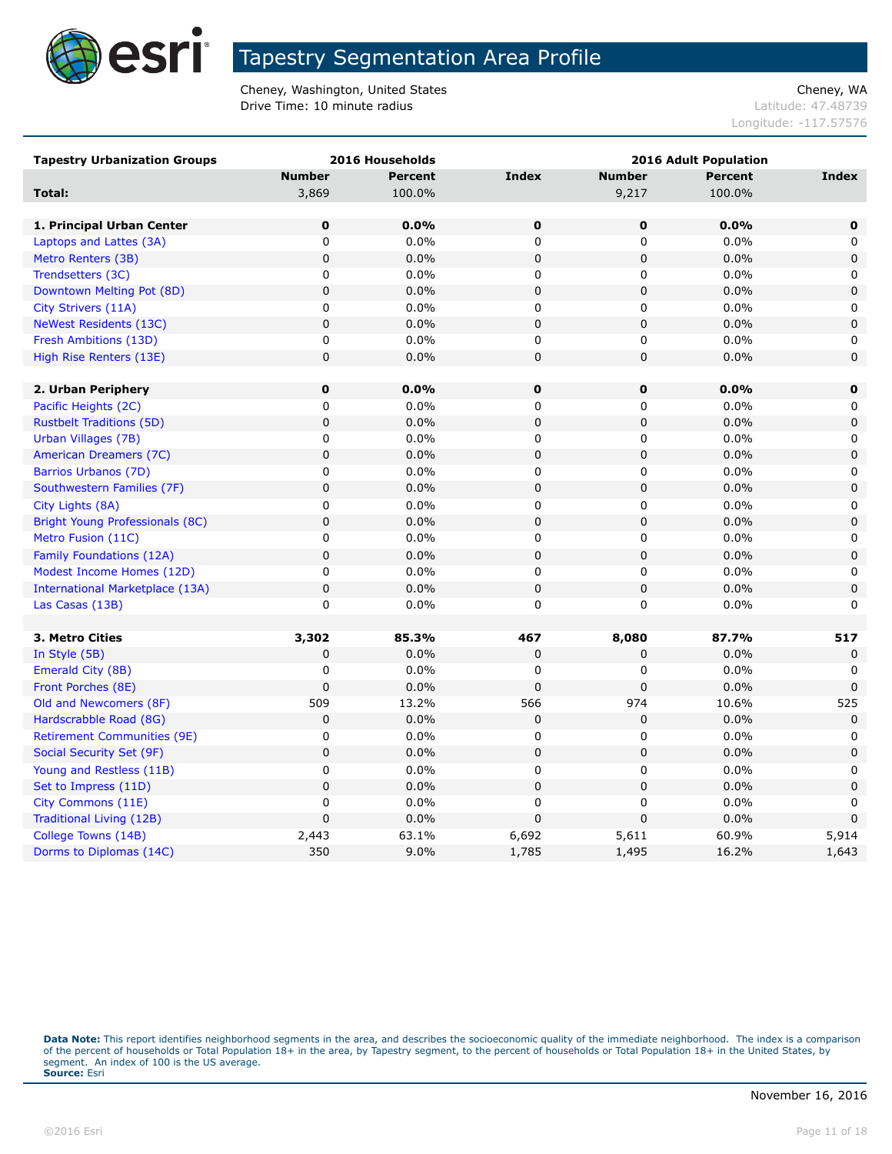

Cheney, Washington, United States Cheney, WA Drive Time: 10 minute radius and the contract of the contract of the latitude: 47.48739

Longitude: -117.57576

| <b>Tapestry Urbanization Groups</b> |               | 2016 Households |                |               | <b>2016 Adult Population</b> |              |
|-------------------------------------|---------------|-----------------|----------------|---------------|------------------------------|--------------|
|                                     | <b>Number</b> | Percent         | <b>Index</b>   | <b>Number</b> | <b>Percent</b>               | <b>Index</b> |
| Total:                              | 3,869         | 100.0%          |                | 9,217         | 100.0%                       |              |
|                                     |               |                 |                |               |                              |              |
| 1. Principal Urban Center           | $\mathbf 0$   | 0.0%            | $\mathbf 0$    | $\mathbf 0$   | 0.0%                         | $\mathbf 0$  |
| Laptops and Lattes (3A)             | $\mathsf 0$   | 0.0%            | $\mathbf 0$    | 0             | 0.0%                         | 0            |
| Metro Renters (3B)                  | $\mathbf 0$   | 0.0%            | $\mathbf 0$    | $\mathbf 0$   | 0.0%                         | $\mathbf 0$  |
| Trendsetters (3C)                   | 0             | 0.0%            | 0              | 0             | 0.0%                         | 0            |
| Downtown Melting Pot (8D)           | $\mathbf 0$   | 0.0%            | $\mathbf 0$    | $\mathbf 0$   | 0.0%                         | 0            |
| City Strivers (11A)                 | $\mathsf 0$   | 0.0%            | $\mathbf 0$    | 0             | 0.0%                         | 0            |
| <b>NeWest Residents (13C)</b>       | $\mathbf 0$   | 0.0%            | $\mathbf 0$    | 0             | 0.0%                         | $\mathbf 0$  |
| Fresh Ambitions (13D)               | 0             | $0.0\%$         | 0              | 0             | 0.0%                         | 0            |
| High Rise Renters (13E)             | $\mathbf 0$   | 0.0%            | $\mathbf 0$    | $\pmb{0}$     | 0.0%                         | 0            |
|                                     |               |                 |                |               |                              |              |
| 2. Urban Periphery                  | $\bf{0}$      | 0.0%            | $\mathbf 0$    | 0             | $0.0\%$                      | $\mathbf 0$  |
| Pacific Heights (2C)                | 0             | 0.0%            | 0              | 0             | 0.0%                         | 0            |
| <b>Rustbelt Traditions (5D)</b>     | $\mathbf 0$   | 0.0%            | $\overline{0}$ | $\pmb{0}$     | 0.0%                         | $\pmb{0}$    |
| Urban Villages (7B)                 | 0             | 0.0%            | $\mathbf 0$    | 0             | 0.0%                         | 0            |
| American Dreamers (7C)              | $\pmb{0}$     | 0.0%            | $\pmb{0}$      | 0             | 0.0%                         | $\mathbf 0$  |
| Barrios Urbanos (7D)                | 0             | 0.0%            | $\mathbf 0$    | 0             | 0.0%                         | 0            |
| Southwestern Families (7F)          | $\mathbf 0$   | 0.0%            | $\mathbf 0$    | $\pmb{0}$     | 0.0%                         | $\mathbf 0$  |
| City Lights (8A)                    | $\mathsf 0$   | $0.0\%$         | $\mathbf 0$    | 0             | 0.0%                         | 0            |
| Bright Young Professionals (8C)     | 0             | 0.0%            | $\mathbf 0$    | 0             | 0.0%                         | 0            |
| Metro Fusion (11C)                  | 0             | $0.0\%$         | 0              | 0             | 0.0%                         | 0            |
| Family Foundations (12A)            | $\mathbf 0$   | 0.0%            | $\pmb{0}$      | 0             | 0.0%                         | 0            |
| Modest Income Homes (12D)           | 0             | 0.0%            | 0              | 0             | 0.0%                         | 0            |
| International Marketplace (13A)     | $\mathbf 0$   | 0.0%            | $\mathbf 0$    | 0             | 0.0%                         | $\mathbf 0$  |
| Las Casas (13B)                     | 0             | 0.0%            | 0              | 0             | 0.0%                         | 0            |
|                                     |               |                 |                |               |                              |              |
| 3. Metro Cities                     | 3,302         | 85.3%           | 467            | 8,080         | 87.7%                        | 517          |
| In Style (5B)                       | 0             | 0.0%            | 0              | 0             | 0.0%                         | $\Omega$     |
| Emerald City (8B)                   | 0             | $0.0\%$         | 0              | 0             | 0.0%                         | 0            |
| Front Porches (8E)                  | $\mathbf 0$   | 0.0%            | $\pmb{0}$      | $\mathbf 0$   | 0.0%                         | $\mathbf{0}$ |
| Old and Newcomers (8F)              | 509           | 13.2%           | 566            | 974           | 10.6%                        | 525          |
| Hardscrabble Road (8G)              | $\mathbf 0$   | 0.0%            | $\mathbf 0$    | 0             | 0.0%                         | $\mathbf 0$  |
| <b>Retirement Communities (9E)</b>  | 0             | 0.0%            | 0              | 0             | 0.0%                         | 0            |
| Social Security Set (9F)            | $\pmb{0}$     | 0.0%            | $\mathbf 0$    | $\pmb{0}$     | 0.0%                         | $\mathbf 0$  |
| Young and Restless (11B)            | 0             | $0.0\%$         | 0              | $\mathbf 0$   | 0.0%                         | 0            |
| Set to Impress (11D)                | $\mathbf 0$   | 0.0%            | $\mathbf 0$    | 0             | 0.0%                         | $\mathbf 0$  |
| City Commons (11E)                  | $\pmb{0}$     | $0.0\%$         | $\pmb{0}$      | 0             | 0.0%                         | $\Omega$     |
| Traditional Living (12B)            | $\mathbf 0$   | 0.0%            | $\pmb{0}$      | 0             | 0.0%                         | $\mathbf 0$  |
| College Towns (14B)                 | 2,443         | 63.1%           | 6,692          | 5,611         | 60.9%                        | 5,914        |
| Dorms to Diplomas (14C)             | 350           | 9.0%            | 1,785          | 1,495         | 16.2%                        | 1,643        |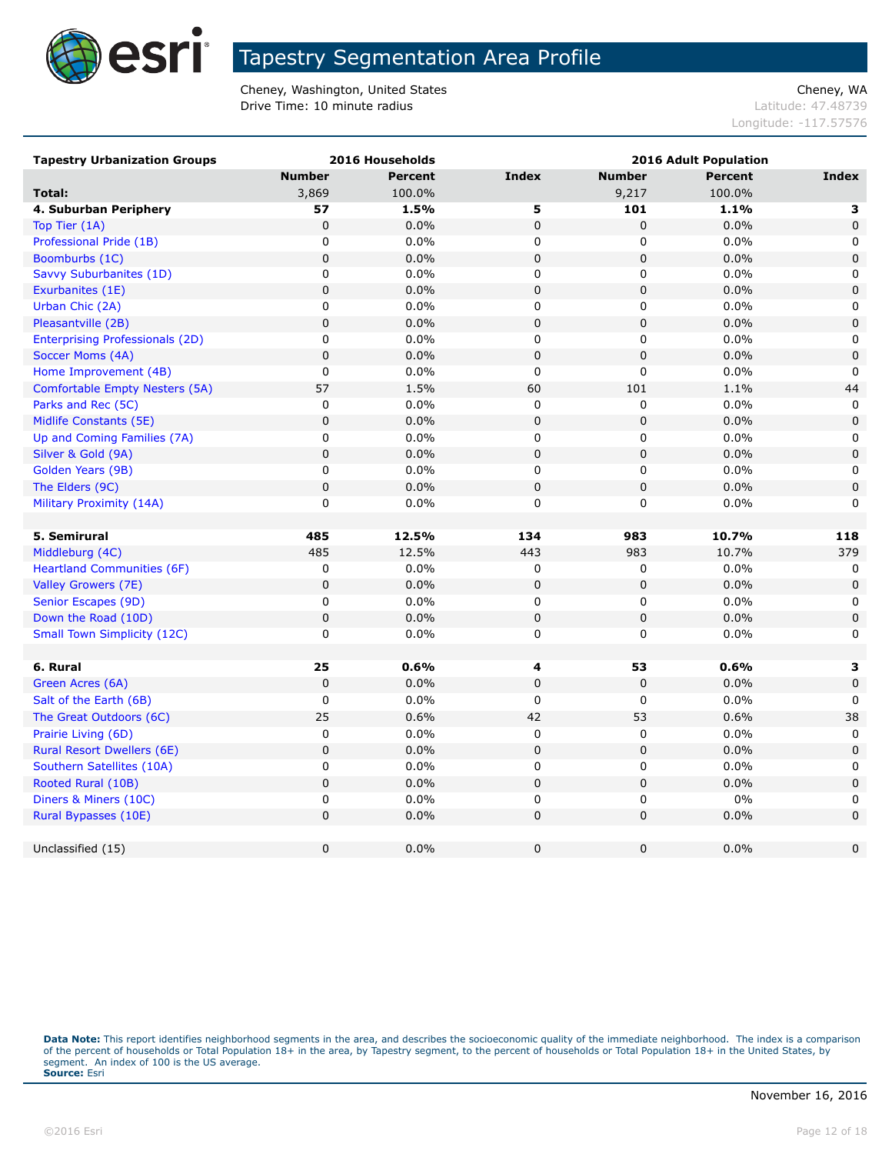

Cheney, Washington, United States Cheney, WA Drive Time: 10 minute radius and the contract of the contract of the latitude: 47.48739

Longitude: -117.57576

| <b>Tapestry Urbanization Groups</b>    |               | 2016 Households |              | <b>2016 Adult Population</b> |                |              |
|----------------------------------------|---------------|-----------------|--------------|------------------------------|----------------|--------------|
|                                        | <b>Number</b> | <b>Percent</b>  | <b>Index</b> | <b>Number</b>                | <b>Percent</b> | <b>Index</b> |
| Total:                                 | 3,869         | 100.0%          |              | 9,217                        | 100.0%         |              |
| 4. Suburban Periphery                  | 57            | 1.5%            | 5            | 101                          | 1.1%           | 3            |
| Top Tier (1A)                          | $\pmb{0}$     | 0.0%            | $\pmb{0}$    | 0                            | 0.0%           | $\mathbf 0$  |
| Professional Pride (1B)                | 0             | 0.0%            | 0            | 0                            | 0.0%           | 0            |
| Boomburbs (1C)                         | 0             | 0.0%            | 0            | $\pmb{0}$                    | 0.0%           | $\mathbf 0$  |
| Savvy Suburbanites (1D)                | 0             | 0.0%            | 0            | 0                            | 0.0%           | 0            |
| Exurbanites (1E)                       | 0             | 0.0%            | 0            | 0                            | 0.0%           | $\mathbf 0$  |
| Urban Chic (2A)                        | 0             | 0.0%            | 0            | 0                            | 0.0%           | 0            |
| Pleasantville (2B)                     | 0             | 0.0%            | 0            | $\pmb{0}$                    | 0.0%           | $\mathbf 0$  |
| <b>Enterprising Professionals (2D)</b> | 0             | 0.0%            | 0            | 0                            | 0.0%           | 0            |
| Soccer Moms (4A)                       | 0             | 0.0%            | $\mathbf 0$  | $\mathbf 0$                  | 0.0%           | $\mathbf 0$  |
| Home Improvement (4B)                  | 0             | 0.0%            | 0            | 0                            | 0.0%           | $\mathbf 0$  |
| Comfortable Empty Nesters (5A)         | 57            | 1.5%            | 60           | 101                          | 1.1%           | 44           |
| Parks and Rec (5C)                     | 0             | 0.0%            | $\pmb{0}$    | 0                            | 0.0%           | $\mathbf 0$  |
| Midlife Constants (5E)                 | $\pmb{0}$     | 0.0%            | 0            | 0                            | 0.0%           | 0            |
| Up and Coming Families (7A)            | 0             | 0.0%            | 0            | 0                            | 0.0%           | $\mathbf 0$  |
| Silver & Gold (9A)                     | $\pmb{0}$     | 0.0%            | $\pmb{0}$    | 0                            | 0.0%           | $\pmb{0}$    |
| Golden Years (9B)                      | 0             | 0.0%            | 0            | 0                            | 0.0%           | 0            |
| The Elders (9C)                        | 0             | 0.0%            | 0            | 0                            | 0.0%           | $\mathbf 0$  |
| Military Proximity (14A)               | 0             | 0.0%            | 0            | 0                            | 0.0%           | 0            |
|                                        |               |                 |              |                              |                |              |
| 5. Semirural                           | 485           | 12.5%           | 134          | 983                          | 10.7%          | 118          |
| Middleburg (4C)                        | 485           | 12.5%           | 443          | 983                          | 10.7%          | 379          |
| <b>Heartland Communities (6F)</b>      | 0             | 0.0%            | 0            | 0                            | 0.0%           | 0            |
| Valley Growers (7E)                    | 0             | 0.0%            | 0            | 0                            | 0.0%           | $\mathbf 0$  |
| Senior Escapes (9D)                    | 0             | 0.0%            | 0            | 0                            | 0.0%           | 0            |
| Down the Road (10D)                    | 0             | 0.0%            | 0            | $\pmb{0}$                    | 0.0%           | $\mathbf 0$  |
| <b>Small Town Simplicity (12C)</b>     | 0             | 0.0%            | 0            | 0                            | 0.0%           | 0            |
|                                        |               |                 |              |                              |                |              |
| 6. Rural                               | 25            | 0.6%            | 4            | 53                           | 0.6%           | 3            |
| Green Acres (6A)                       | $\pmb{0}$     | 0.0%            | $\pmb{0}$    | 0                            | 0.0%           | $\mathbf 0$  |
| Salt of the Earth (6B)                 | 0             | 0.0%            | 0            | 0                            | 0.0%           | 0            |
| The Great Outdoors (6C)                | 25            | 0.6%            | 42           | 53                           | 0.6%           | 38           |
| Prairie Living (6D)                    | 0             | 0.0%            | 0            | 0                            | 0.0%           | 0            |
| <b>Rural Resort Dwellers (6E)</b>      | $\pmb{0}$     | 0.0%            | 0            | $\pmb{0}$                    | 0.0%           | $\mathbf 0$  |
| Southern Satellites (10A)              | 0             | 0.0%            | 0            | 0                            | 0.0%           | 0            |
| Rooted Rural (10B)                     | $\pmb{0}$     | 0.0%            | 0            | $\pmb{0}$                    | 0.0%           | $\pmb{0}$    |
| Diners & Miners (10C)                  | 0             | 0.0%            | 0            | 0                            | 0%             | 0            |
| Rural Bypasses (10E)                   | $\pmb{0}$     | 0.0%            | $\pmb{0}$    | $\mathbf 0$                  | 0.0%           | 0            |
|                                        |               |                 |              |                              |                |              |
| Unclassified (15)                      | 0             | 0.0%            | $\mathbf 0$  | 0                            | 0.0%           | $\mathbf 0$  |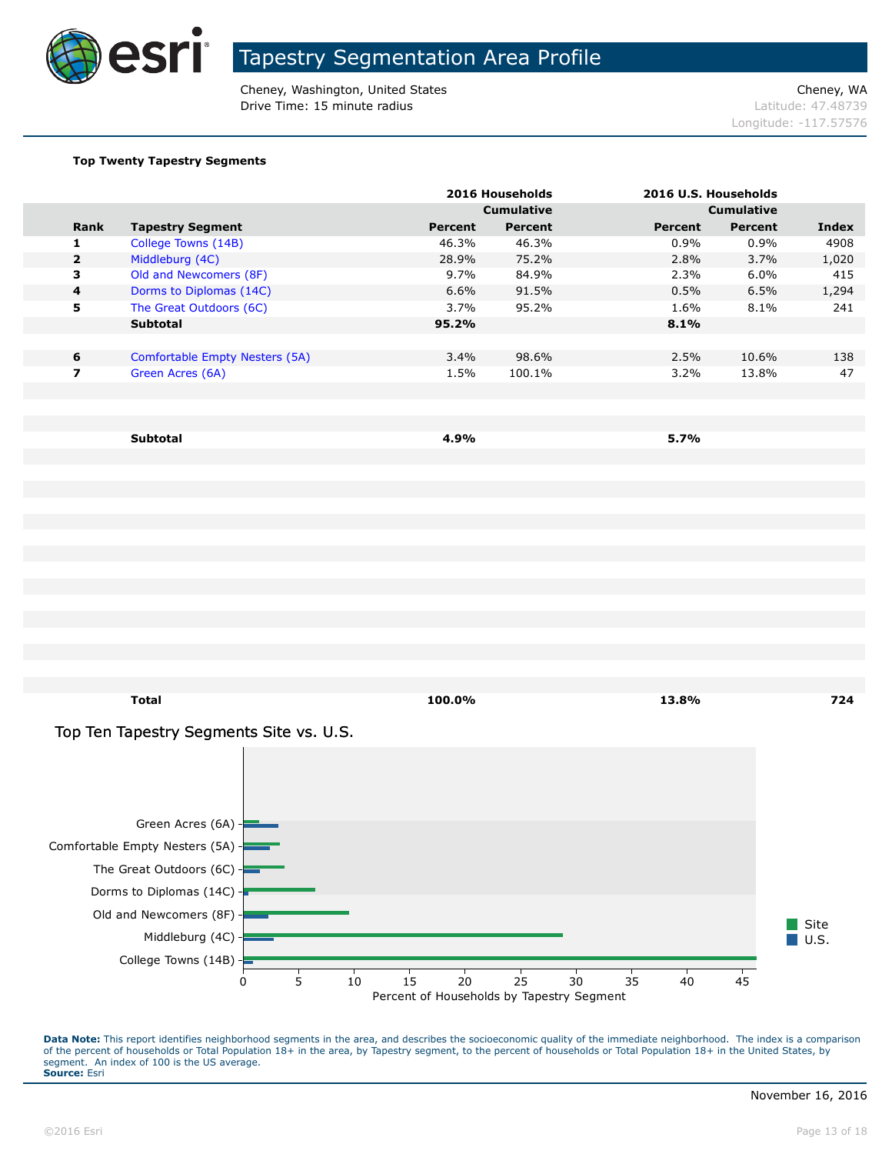

Cheney, Washington, United States Cheney, WA **Drive Time: 15 minute radius Latitude: 47.48739** 

Longitude: -117.57576

#### **Top Twenty Tapestry Segments**

|                |                                |         | 2016 Households   |                   | 2016 U.S. Households |       |
|----------------|--------------------------------|---------|-------------------|-------------------|----------------------|-------|
|                |                                |         | <b>Cumulative</b> | <b>Cumulative</b> |                      |       |
| <b>Rank</b>    | <b>Tapestry Segment</b>        | Percent | Percent           | Percent           | Percent              | Index |
| 1.             | College Towns (14B)            | 46.3%   | 46.3%             | $0.9\%$           | 0.9%                 | 4908  |
| $\overline{2}$ | Middleburg (4C)                | 28.9%   | 75.2%             | 2.8%              | 3.7%                 | 1,020 |
| 3              | Old and Newcomers (8F)         | $9.7\%$ | 84.9%             | 2.3%              | $6.0\%$              | 415   |
| 4              | Dorms to Diplomas (14C)        | 6.6%    | 91.5%             | 0.5%              | 6.5%                 | 1,294 |
| 5              | The Great Outdoors (6C)        | 3.7%    | 95.2%             | 1.6%              | 8.1%                 | 241   |
|                | <b>Subtotal</b>                | 95.2%   |                   | 8.1%              |                      |       |
|                |                                |         |                   |                   |                      |       |
| 6              | Comfortable Empty Nesters (5A) | 3.4%    | 98.6%             | 2.5%              | 10.6%                | 138   |
| 7              | Green Acres (6A)               | 1.5%    | 100.1%            | 3.2%              | 13.8%                | 47    |
|                |                                |         |                   |                   |                      |       |
|                |                                |         |                   |                   |                      |       |

**Subtotal 4.9% 5.7%**

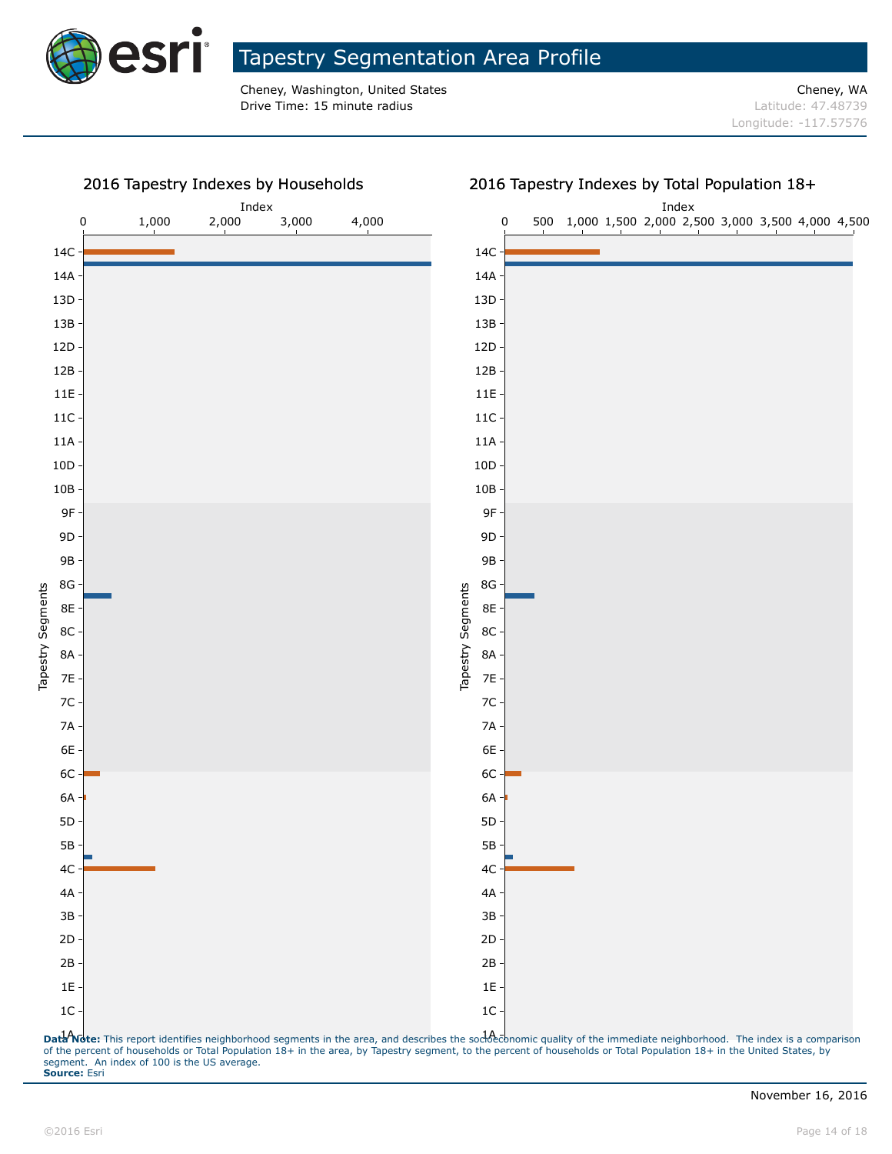

Cheney, Washington, United States Cheney, WA **Drive Time: 15 minute radius Latitude: 47.48739** 

Longitude: -117.57576

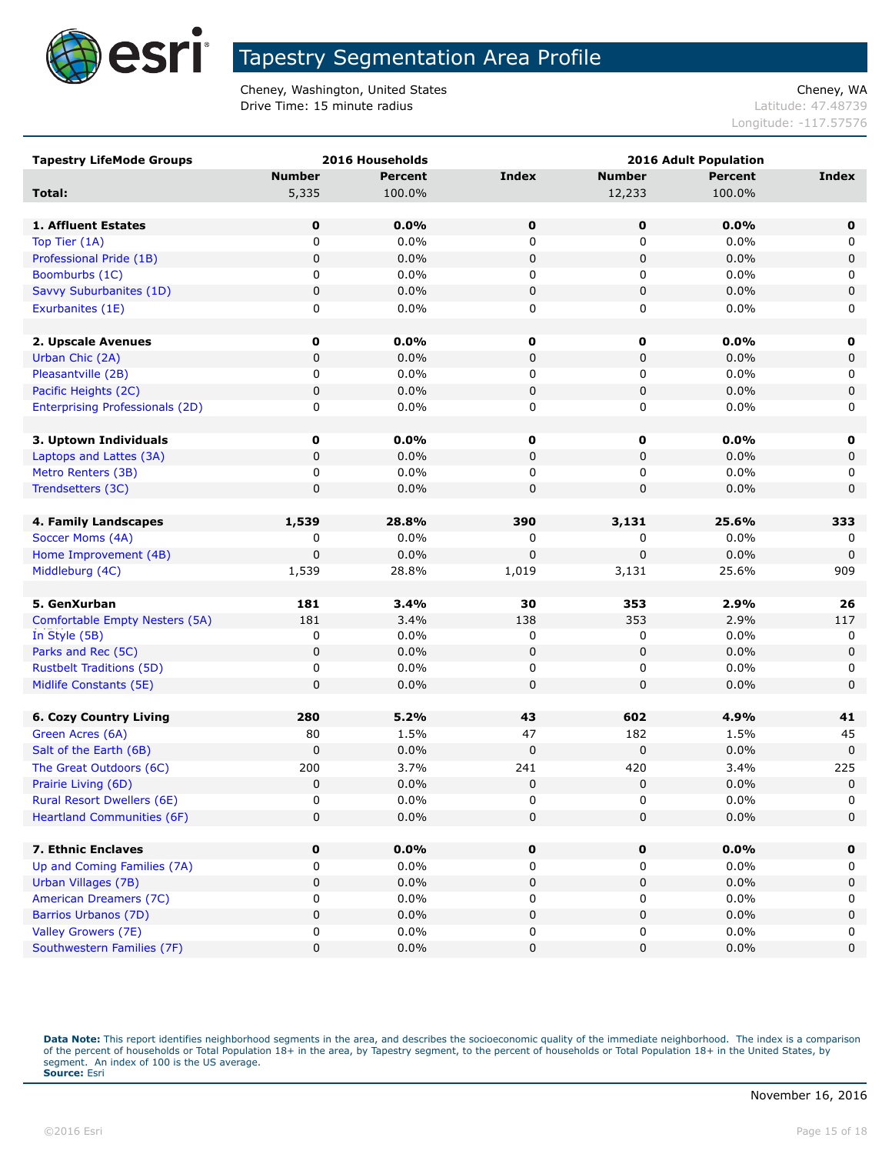

Cheney, Washington, United States Cheney, WA **Drive Time: 15 minute radius Latitude: 47.48739** 

Longitude: -117.57576

| <b>Tapestry LifeMode Groups</b>        |               | 2016 Households | <b>2016 Adult Population</b> |               |                |              |
|----------------------------------------|---------------|-----------------|------------------------------|---------------|----------------|--------------|
|                                        | <b>Number</b> | <b>Percent</b>  | <b>Index</b>                 | <b>Number</b> | <b>Percent</b> | <b>Index</b> |
| Total:                                 | 5,335         | 100.0%          |                              | 12,233        | 100.0%         |              |
|                                        |               |                 |                              |               |                |              |
| 1. Affluent Estates                    | 0             | 0.0%            | $\mathbf 0$                  | 0             | 0.0%           | $\mathbf 0$  |
| Top Tier (1A)                          | 0             | 0.0%            | 0                            | 0             | 0.0%           | 0            |
| Professional Pride (1B)                | $\pmb{0}$     | 0.0%            | 0                            | 0             | 0.0%           | $\mathbf 0$  |
| Boomburbs (1C)                         | 0             | 0.0%            | 0                            | 0             | 0.0%           | 0            |
| Savvy Suburbanites (1D)                | $\pmb{0}$     | 0.0%            | 0                            | 0             | 0.0%           | 0            |
| Exurbanites (1E)                       | 0             | 0.0%            | 0                            | 0             | 0.0%           | 0            |
|                                        |               |                 |                              |               |                |              |
| 2. Upscale Avenues                     | 0             | 0.0%            | $\mathbf 0$                  | 0             | 0.0%           | 0            |
| Urban Chic (2A)                        | $\pmb{0}$     | 0.0%            | 0                            | 0             | 0.0%           | $\mathbf 0$  |
| Pleasantville (2B)                     | 0             | 0.0%            | 0                            | 0             | 0.0%           | 0            |
| Pacific Heights (2C)                   | $\pmb{0}$     | 0.0%            | 0                            | 0             | 0.0%           | $\mathbf 0$  |
| <b>Enterprising Professionals (2D)</b> | 0             | 0.0%            | 0                            | 0             | 0.0%           | 0            |
|                                        |               |                 |                              |               |                |              |
| 3. Uptown Individuals                  | 0             | 0.0%            | 0                            | 0             | 0.0%           | 0            |
| Laptops and Lattes (3A)                | 0             | 0.0%            | 0                            | 0             | 0.0%           | 0            |
| Metro Renters (3B)                     | 0             | 0.0%            | 0                            | 0             | 0.0%           | 0            |
| Trendsetters (3C)                      | $\pmb{0}$     | 0.0%            | 0                            | 0             | 0.0%           | $\mathbf 0$  |
|                                        |               |                 |                              |               |                |              |
| 4. Family Landscapes                   | 1,539         | 28.8%           | 390                          | 3,131         | 25.6%          | 333          |
| Soccer Moms (4A)                       | 0             | 0.0%            | 0                            | 0             | 0.0%           | 0            |
| Home Improvement (4B)                  | $\mathbf 0$   | 0.0%            | 0                            | 0             | 0.0%           | 0            |
| Middleburg (4C)                        | 1,539         | 28.8%           | 1,019                        | 3,131         | 25.6%          | 909          |
|                                        |               |                 |                              |               |                |              |
| 5. GenXurban                           | 181           | 3.4%            | 30                           | 353           | 2.9%           | 26           |
| Comfortable Empty Nesters (5A)         | 181           | 3.4%            | 138                          | 353           | 2.9%           | 117          |
| In Style (5B)                          | 0             | 0.0%            | 0                            | 0             | 0.0%           | 0            |
| Parks and Rec (5C)                     | $\pmb{0}$     | 0.0%            | 0                            | 0             | 0.0%           | $\mathbf 0$  |
| <b>Rustbelt Traditions (5D)</b>        | 0             | 0.0%            | 0                            | 0             | 0.0%           | 0            |
| Midlife Constants (5E)                 | 0             | $0.0\%$         | 0                            | 0             | 0.0%           | 0            |
|                                        |               |                 |                              |               |                |              |
| <b>6. Cozy Country Living</b>          | 280           | 5.2%            | 43                           | 602           | 4.9%           | 41           |
| Green Acres (6A)                       | 80            | 1.5%            | 47                           | 182           | 1.5%           | 45           |
| Salt of the Earth (6B)                 | 0             | 0.0%            | 0                            | 0             | 0.0%           | $\mathbf 0$  |
| The Great Outdoors (6C)                | 200           | 3.7%            | 241                          | 420           | 3.4%           | 225          |
| Prairie Living (6D)                    | $\pmb{0}$     | 0.0%            | 0                            | 0             | 0.0%           | $\mathbf 0$  |
| <b>Rural Resort Dwellers (6E)</b>      | 0             | $0.0\%$         | 0                            | 0             | 0.0%           | 0            |
| <b>Heartland Communities (6F)</b>      | $\pmb{0}$     | 0.0%            | 0                            | $\mathbf 0$   | 0.0%           | 0            |
| 7. Ethnic Enclaves                     | 0             | 0.0%            |                              |               | 0.0%           |              |
| Up and Coming Families (7A)            | 0             | $0.0\%$         | $\mathbf 0$<br>0             | 0<br>0        | 0.0%           | $\mathbf 0$  |
| Urban Villages (7B)                    | $\pmb{0}$     | 0.0%            | 0                            | 0             | 0.0%           | 0<br>0       |
| American Dreamers (7C)                 | 0             | 0.0%            | 0                            | 0             | 0.0%           | 0            |
| Barrios Urbanos (7D)                   | 0             | 0.0%            | 0                            | 0             | 0.0%           | 0            |
| Valley Growers (7E)                    | 0             | $0.0\%$         | 0                            | 0             | 0.0%           | 0            |
| Southwestern Families (7F)             | $\pmb{0}$     | 0.0%            | 0                            | 0             | 0.0%           | 0            |
|                                        |               |                 |                              |               |                |              |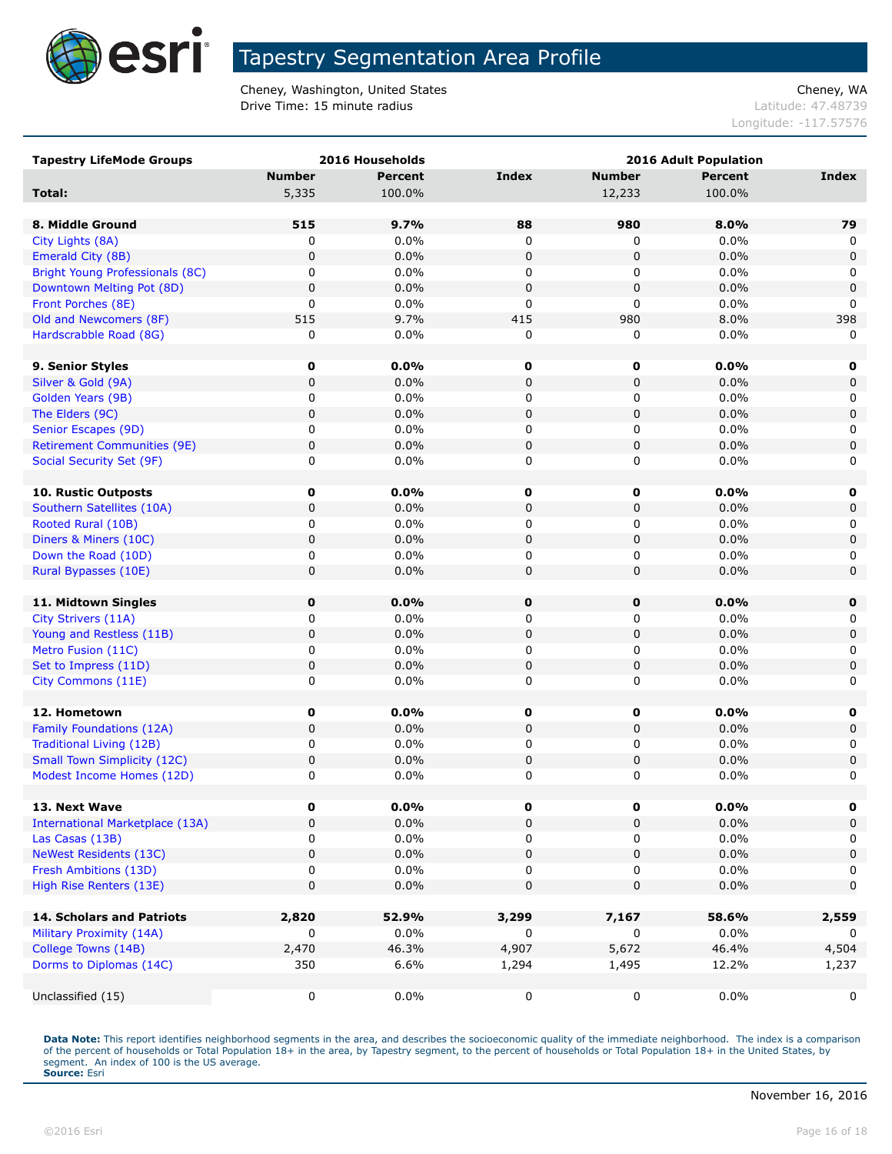

Cheney, Washington, United States Cheney, WA **Drive Time: 15 minute radius Contract Contract Contract Contract Contract Contract Contract Contract Contract Contract Contract Contract Contract Contract Contract Contract Contract Contract Contract Contract Contract C** 

Longitude: -117.57576

| <b>Tapestry LifeMode Groups</b>        |               | 2016 Households |              |               | 2016 Adult Population |              |  |
|----------------------------------------|---------------|-----------------|--------------|---------------|-----------------------|--------------|--|
|                                        | <b>Number</b> | <b>Percent</b>  | <b>Index</b> | <b>Number</b> | <b>Percent</b>        | Index        |  |
| Total:                                 | 5,335         | 100.0%          |              | 12,233        | 100.0%                |              |  |
|                                        |               |                 |              |               |                       |              |  |
| 8. Middle Ground                       | 515           | 9.7%            | 88           | 980           | 8.0%                  | 79           |  |
| City Lights (8A)                       | 0             | 0.0%            | 0            | 0             | 0.0%                  | 0            |  |
| Emerald City (8B)                      | $\pmb{0}$     | 0.0%            | $\pmb{0}$    | 0             | 0.0%                  | 0            |  |
| <b>Bright Young Professionals (8C)</b> | 0             | 0.0%            | 0            | 0             | 0.0%                  | 0            |  |
| Downtown Melting Pot (8D)              | $\mathbf 0$   | 0.0%            | $\pmb{0}$    | 0             | 0.0%                  | 0            |  |
| Front Porches (8E)                     | 0             | 0.0%            | 0            | 0             | 0.0%                  | $\mathbf{0}$ |  |
| Old and Newcomers (8F)                 | 515           | 9.7%            | 415          | 980           | 8.0%                  | 398          |  |
| Hardscrabble Road (8G)                 | 0             | 0.0%            | 0            | 0             | 0.0%                  | $\mathbf{0}$ |  |
|                                        |               |                 |              |               |                       |              |  |
| 9. Senior Styles                       | 0             | 0.0%            | 0            | $\mathbf 0$   | 0.0%                  | 0            |  |
| Silver & Gold (9A)                     | $\mathbf 0$   | 0.0%            | $\pmb{0}$    | $\pmb{0}$     | 0.0%                  | $\mathbf 0$  |  |
| Golden Years (9B)                      | 0             | 0.0%            | 0            | 0             | 0.0%                  | 0            |  |
| The Elders (9C)                        | 0             | 0.0%            | $\pmb{0}$    | 0             | 0.0%                  | $\mathsf 0$  |  |
| Senior Escapes (9D)                    | 0             | 0.0%            | 0            | 0             | 0.0%                  | 0            |  |
| <b>Retirement Communities (9E)</b>     | $\mathbf 0$   | 0.0%            | $\pmb{0}$    | 0             | 0.0%                  | $\mathbf 0$  |  |
| Social Security Set (9F)               | 0             | 0.0%            | 0            | 0             | 0.0%                  | 0            |  |
|                                        |               |                 |              |               |                       |              |  |
| <b>10. Rustic Outposts</b>             | 0             | $0.0\%$         | 0            | $\mathbf 0$   | 0.0%                  | 0            |  |
| Southern Satellites (10A)              | $\mathbf 0$   | 0.0%            | $\pmb{0}$    | 0             | 0.0%                  | 0            |  |
| Rooted Rural (10B)                     | 0             | 0.0%            | 0            | 0             | 0.0%                  | 0            |  |
| Diners & Miners (10C)                  | $\mathbf 0$   | 0.0%            | $\pmb{0}$    | 0             | 0.0%                  | $\mathbf 0$  |  |
| Down the Road (10D)                    | 0             | 0.0%            | 0            | 0             | 0.0%                  | 0            |  |
| Rural Bypasses (10E)                   | $\mathbf 0$   | 0.0%            | $\pmb{0}$    | $\pmb{0}$     | 0.0%                  | 0            |  |
|                                        |               |                 |              |               |                       |              |  |
| 11. Midtown Singles                    | $\pmb{0}$     | 0.0%            | $\mathbf 0$  | $\mathbf 0$   | 0.0%                  | 0            |  |
| City Strivers (11A)                    | 0             | 0.0%            | 0            | 0             | 0.0%                  | 0            |  |
| Young and Restless (11B)               | 0             | 0.0%            | $\pmb{0}$    | 0             | 0.0%                  | 0            |  |
| Metro Fusion (11C)                     | 0             | 0.0%            | 0            | 0             | 0.0%                  | 0            |  |
| Set to Impress (11D)                   | $\mathbf 0$   | 0.0%            | $\pmb{0}$    | 0             | 0.0%                  | $\mathbf 0$  |  |
| City Commons (11E)                     | 0             | 0.0%            | 0            | 0             | 0.0%                  | 0            |  |
|                                        |               |                 |              |               |                       |              |  |
| 12. Hometown                           | 0             | 0.0%            | 0            | 0             | 0.0%                  | 0            |  |
| Family Foundations (12A)               | $\mathbf 0$   | 0.0%            | 0            | 0             | 0.0%                  | $\mathbf 0$  |  |
| <b>Traditional Living (12B)</b>        | 0             | 0.0%            | 0            | 0             | 0.0%                  | 0            |  |
| <b>Small Town Simplicity (12C)</b>     | $\mathbf 0$   | 0.0%            | $\pmb{0}$    | 0             | 0.0%                  | $\mathbf 0$  |  |
| Modest Income Homes (12D)              | 0             | 0.0%            | 0            | 0             | 0.0%                  | 0            |  |
|                                        |               |                 |              |               |                       |              |  |
| 13. Next Wave                          | U             | $0.0\%$         | U            | 0             | 0.0%                  |              |  |
| <b>International Marketplace (13A)</b> | 0             | 0.0%            | 0            | 0             | 0.0%                  | 0            |  |
| Las Casas (13B)                        | 0             | 0.0%            | 0            | 0             | $0.0\%$               | 0            |  |
| <b>NeWest Residents (13C)</b>          | 0             | 0.0%            | 0            | 0             | 0.0%                  | $\mathbf 0$  |  |
| Fresh Ambitions (13D)                  | 0             | $0.0\%$         | 0            | 0             | $0.0\%$               | 0            |  |
| High Rise Renters (13E)                | 0             | 0.0%            | 0            | 0             | 0.0%                  | 0            |  |
|                                        |               |                 |              |               |                       |              |  |
| 14. Scholars and Patriots              | 2,820         | 52.9%           | 3,299        | 7,167         | 58.6%                 | 2,559        |  |
| Military Proximity (14A)               | 0             | $0.0\%$         | 0            | 0             | $0.0\%$               | 0            |  |
| College Towns (14B)                    | 2,470         | 46.3%           | 4,907        | 5,672         | 46.4%                 | 4,504        |  |
| Dorms to Diplomas (14C)                | 350           | 6.6%            | 1,294        | 1,495         | 12.2%                 | 1,237        |  |
|                                        |               |                 |              |               |                       |              |  |
| Unclassified (15)                      | $\mathsf 0$   | 0.0%            | 0            | 0             | 0.0%                  | 0            |  |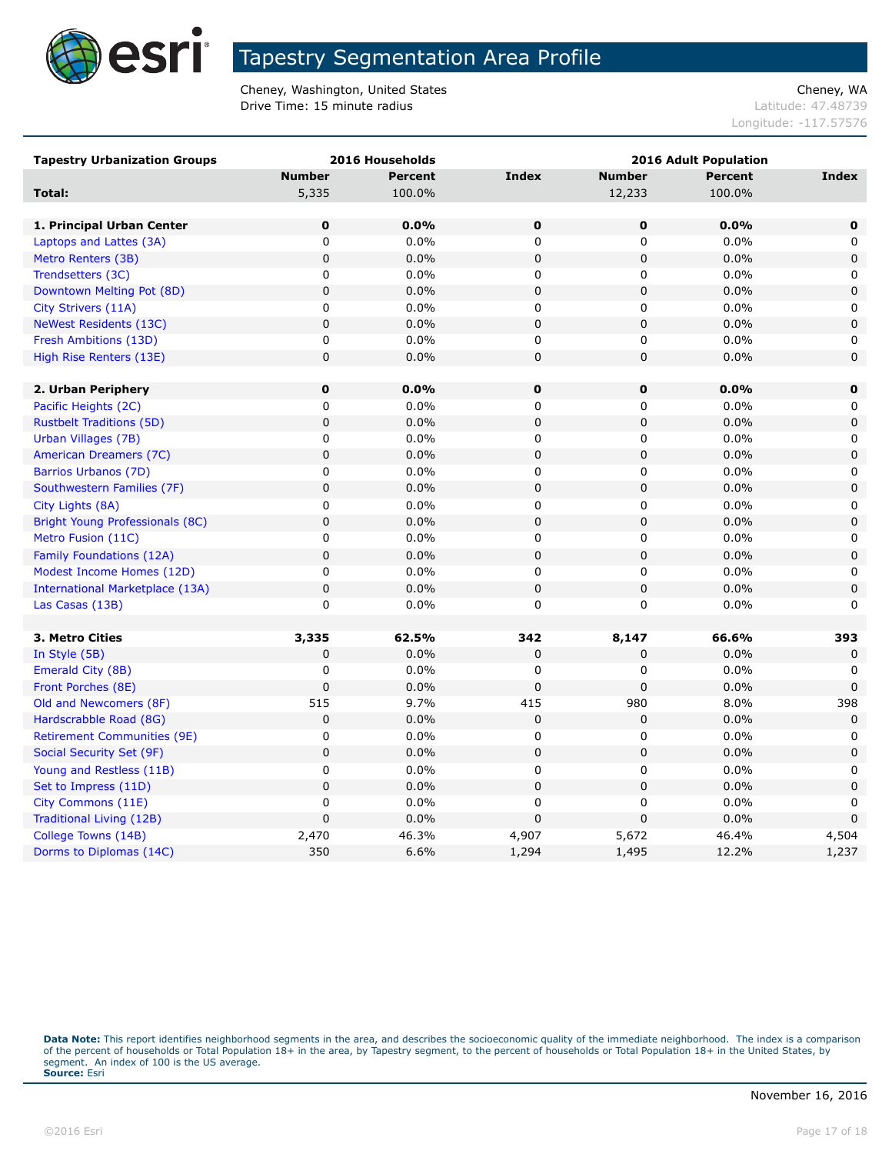

Cheney, Washington, United States Cheney, WA **Drive Time: 15 minute radius Contract Contract Contract Contract Contract Contract Contract Contract Contract Contract Contract Contract Contract Contract Contract Contract Contract Contract Contract Contract Contract C** 

Longitude: -117.57576

| <b>Tapestry Urbanization Groups</b>    |               | 2016 Households | <b>2016 Adult Population</b> |                |                |              |
|----------------------------------------|---------------|-----------------|------------------------------|----------------|----------------|--------------|
|                                        | <b>Number</b> | <b>Percent</b>  | <b>Index</b>                 | <b>Number</b>  | <b>Percent</b> | Index        |
| Total:                                 | 5,335         | 100.0%          |                              | 12,233         | 100.0%         |              |
|                                        |               |                 |                              |                |                |              |
| 1. Principal Urban Center              | 0             | 0.0%            | 0                            | 0              | 0.0%           | $\mathbf 0$  |
| Laptops and Lattes (3A)                | 0             | 0.0%            | $\mathbf 0$                  | $\mathbf 0$    | 0.0%           | $\mathbf{0}$ |
| Metro Renters (3B)                     | $\mathbf 0$   | 0.0%            | $\mathbf 0$                  | $\mathbf 0$    | 0.0%           | $\mathbf 0$  |
| Trendsetters (3C)                      | $\mathbf 0$   | 0.0%            | $\mathbf 0$                  | 0              | 0.0%           | 0            |
| Downtown Melting Pot (8D)              | $\pmb{0}$     | 0.0%            | $\pmb{0}$                    | $\mathbf 0$    | 0.0%           | $\mathbf 0$  |
| City Strivers (11A)                    | 0             | 0.0%            | 0                            | 0              | 0.0%           | 0            |
| <b>NeWest Residents (13C)</b>          | $\pmb{0}$     | 0.0%            | $\mathbf 0$                  | 0              | 0.0%           | 0            |
| Fresh Ambitions (13D)                  | 0             | 0.0%            | $\mathbf 0$                  | 0              | 0.0%           | 0            |
| High Rise Renters (13E)                | $\pmb{0}$     | 0.0%            | $\pmb{0}$                    | 0              | 0.0%           | 0            |
|                                        |               |                 |                              |                |                |              |
| 2. Urban Periphery                     | $\mathbf 0$   | 0.0%            | $\mathbf 0$                  | $\mathbf 0$    | $0.0\%$        | $\mathbf 0$  |
| Pacific Heights (2C)                   | $\mathbf 0$   | 0.0%            | 0                            | 0              | 0.0%           | 0            |
| <b>Rustbelt Traditions (5D)</b>        | $\mathbf 0$   | 0.0%            | $\mathbf 0$                  | $\overline{0}$ | 0.0%           | $\mathbf 0$  |
| Urban Villages (7B)                    | $\mathbf 0$   | 0.0%            | $\mathbf 0$                  | 0              | 0.0%           | 0            |
| American Dreamers (7C)                 | $\mathbf 0$   | 0.0%            | $\mathbf 0$                  | 0              | 0.0%           | $\mathbf 0$  |
| Barrios Urbanos (7D)                   | 0             | 0.0%            | 0                            | 0              | 0.0%           | 0            |
| Southwestern Families (7F)             | $\pmb{0}$     | 0.0%            | $\mathbf 0$                  | 0              | 0.0%           | $\mathbf 0$  |
| City Lights (8A)                       | $\mathbf 0$   | 0.0%            | $\mathbf 0$                  | 0              | 0.0%           | 0            |
| Bright Young Professionals (8C)        | $\pmb{0}$     | 0.0%            | $\mathbf 0$                  | 0              | 0.0%           | $\mathbf 0$  |
| Metro Fusion (11C)                     | 0             | 0.0%            | $\mathbf 0$                  | 0              | 0.0%           | 0            |
| Family Foundations (12A)               | $\pmb{0}$     | 0.0%            | $\pmb{0}$                    | $\mathbf 0$    | 0.0%           | $\mathbf 0$  |
| Modest Income Homes (12D)              | $\mathbf 0$   | 0.0%            | $\mathbf 0$                  | 0              | 0.0%           | 0            |
| <b>International Marketplace (13A)</b> | $\pmb{0}$     | 0.0%            | $\pmb{0}$                    | $\mathbf 0$    | 0.0%           | $\mathbf 0$  |
| Las Casas (13B)                        | $\mathbf 0$   | 0.0%            | $\mathbf 0$                  | 0              | 0.0%           | 0            |
|                                        |               |                 |                              |                |                |              |
| 3. Metro Cities                        | 3,335         | 62.5%           | 342                          | 8,147          | 66.6%          | 393          |
| In Style (5B)                          | $\mathbf 0$   | 0.0%            | $\mathbf 0$                  | 0              | 0.0%           | 0            |
| Emerald City (8B)                      | 0             | 0.0%            | 0                            | 0              | 0.0%           | 0            |
| Front Porches (8E)                     | $\mathbf 0$   | 0.0%            | $\mathbf 0$                  | 0              | 0.0%           | $\mathbf{0}$ |
| Old and Newcomers (8F)                 | 515           | 9.7%            | 415                          | 980            | 8.0%           | 398          |
| Hardscrabble Road (8G)                 | $\pmb{0}$     | 0.0%            | $\mathbf 0$                  | 0              | 0.0%           | $\mathbf 0$  |
| <b>Retirement Communities (9E)</b>     | $\pmb{0}$     | 0.0%            | 0                            | 0              | 0.0%           | 0            |
| Social Security Set (9F)               | $\mathbf 0$   | 0.0%            | $\mathbf 0$                  | $\mathbf 0$    | 0.0%           | $\mathbf 0$  |
| Young and Restless (11B)               | $\mathsf 0$   | 0.0%            | 0                            | 0              | 0.0%           | 0            |
| Set to Impress (11D)                   | $\mathbf 0$   | 0.0%            | $\mathbf 0$                  | 0              | 0.0%           | $\mathbf 0$  |
| City Commons (11E)                     | $\mathbf 0$   | 0.0%            | $\mathbf 0$                  | 0              | 0.0%           | 0            |
| Traditional Living (12B)               | $\mathbf 0$   | 0.0%            | $\mathbf 0$                  | $\mathbf 0$    | 0.0%           | $\mathbf 0$  |
| College Towns (14B)                    | 2,470         | 46.3%           | 4,907                        | 5,672          | 46.4%          | 4,504        |
| Dorms to Diplomas (14C)                | 350           | 6.6%            | 1,294                        | 1,495          | 12.2%          | 1,237        |